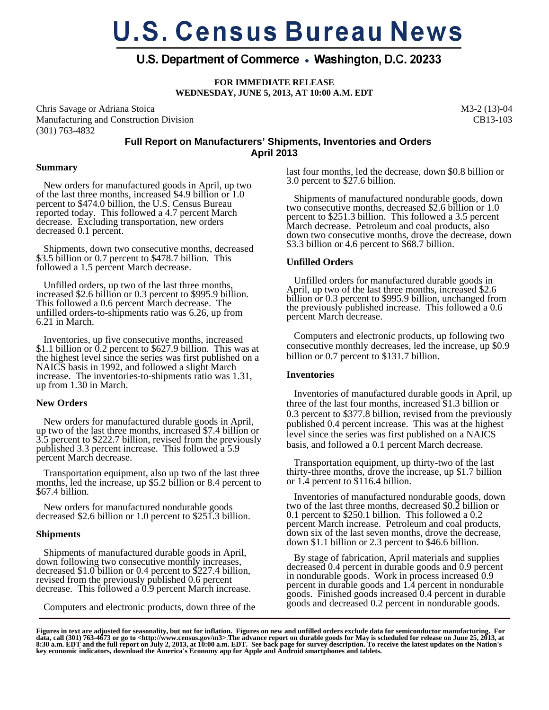# **U.S. Census Bureau News**

# U.S. Department of Commerce • Washington, D.C. 20233

**FOR IMMEDIATE RELEASE WEDNESDAY, JUNE 5, 2013, AT 10:00 A.M. EDT** 

Chris Savage or Adriana Stoica Manufacturing and Construction Division (301) 763-4832

M3-2 (13)-04 CB13-103

# **Full Report on Manufacturers' Shipments, Inventories and Orders April 2013**

#### **Summary**

 New orders for manufactured goods in April, up two of the last three months, increased \$4.9 billion or 1.0 percent to \$474.0 billion, the U.S. Census Bureau reported today. This followed a 4.7 percent March decrease. Excluding transportation, new orders decreased 0.1 percent.

 Shipments, down two consecutive months, decreased \$3.5 billion or 0.7 percent to \$478.7 billion. This followed a 1.5 percent March decrease.

 Unfilled orders, up two of the last three months, increased \$2.6 billion or 0.3 percent to \$995.9 billion. This followed a 0.6 percent March decrease. The unfilled orders-to-shipments ratio was 6.26, up from 6.21 in March.

 Inventories, up five consecutive months, increased \$1.1 billion or 0.2 percent to \$627.9 billion. This was at the highest level since the series was first published on a NAICS basis in 1992, and followed a slight March increase. The inventories-to-shipments ratio was 1.31, up from 1.30 in March.

#### **New Orders**

 New orders for manufactured durable goods in April, up two of the last three months, increased \$7.4 billion or 3.5 percent to \$222.7 billion, revised from the previously published 3.3 percent increase. This followed a 5.9 percent March decrease.

 Transportation equipment, also up two of the last three months, led the increase, up \$5.2 billion or 8.4 percent to \$67.4 billion.

 New orders for manufactured nondurable goods decreased \$2.6 billion or 1.0 percent to \$251.3 billion.

#### **Shipments**

 Shipments of manufactured durable goods in April, down following two consecutive monthly increases, decreased \$1.0 billion or 0.4 percent to \$227.4 billion, revised from the previously published 0.6 percent decrease. This followed a 0.9 percent March increase.

Computers and electronic products, down three of the

last four months, led the decrease, down \$0.8 billion or 3.0 percent to \$27.6 billion.

 Shipments of manufactured nondurable goods, down two consecutive months, decreased \$2.6 billion or 1.0 percent to \$251.3 billion. This followed a 3.5 percent March decrease. Petroleum and coal products, also down two consecutive months, drove the decrease, down \$3.3 billion or 4.6 percent to \$68.7 billion.

### **Unfilled Orders**

 Unfilled orders for manufactured durable goods in April, up two of the last three months, increased \$2.6 billion or 0.3 percent to \$995.9 billion, unchanged from the previously published increase. This followed a 0.6 percent March decrease. <sup>\*</sup>

 Computers and electronic products, up following two consecutive monthly decreases, led the increase, up \$0.9 billion or 0.7 percent to \$131.7 billion.

# **Inventories**

 Inventories of manufactured durable goods in April, up three of the last four months, increased \$1.3 billion or 0.3 percent to \$377.8 billion, revised from the previously published 0.4 percent increase. This was at the highest level since the series was first published on a NAICS basis, and followed a 0.1 percent March decrease.

 Transportation equipment, up thirty-two of the last thirty-three months, drove the increase, up \$1.7 billion or 1.4 percent to \$116.4 billion.

 Inventories of manufactured nondurable goods, down two of the last three months, decreased \$0.2 billion or 0.1 percent to \$250.1 billion. This followed a 0.2 percent March increase. Petroleum and coal products, down six of the last seven months, drove the decrease, down \$1.1 billion or 2.3 percent to \$46.6 billion.

 By stage of fabrication, April materials and supplies decreased 0.4 percent in durable goods and 0.9 percent in nondurable goods. Work in process increased 0.9 percent in durable goods and 1.4 percent in nondurable goods. Finished goods increased 0.4 percent in durable goods and decreased 0.2 percent in nondurable goods.

Figures in text are adjusted for seasonality, but not for inflation. Figures on new and unfilled orders exclude data for semiconductor manufacturing. For<br>data, call (301) 763-4673 or go to <http://www.census.gov/m3>.The ad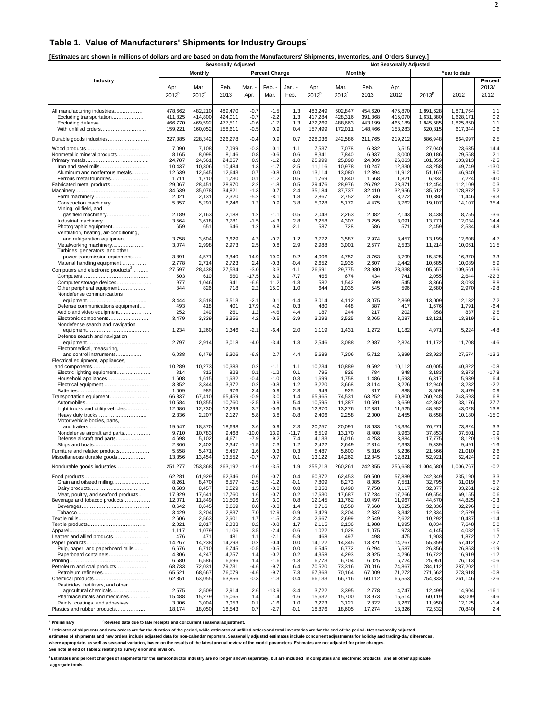#### **Table 1. Value of Manufacturers' Shipments for Industry Groups**<sup>1</sup>

**[Estimates are shown in millions of dollars and are based on data from the Manufacturers' Shipments, Inventories, and Orders Survey.]** 

|                                                                                                                                                                                                      |                                                                                                                                |                                                                                                                                | <b>Seasonally Adjusted</b>                                                                                                     |                                                                                                         |                                                                                                                                     |                                                                                                            |                                                                                                                                |                                                                                                                                |                                                                                                                                | <b>Not Seasonally Adjusted</b>                                                                                               |                                                                                                                                           |                                                                                                                                           |                                                                                                                     |
|------------------------------------------------------------------------------------------------------------------------------------------------------------------------------------------------------|--------------------------------------------------------------------------------------------------------------------------------|--------------------------------------------------------------------------------------------------------------------------------|--------------------------------------------------------------------------------------------------------------------------------|---------------------------------------------------------------------------------------------------------|-------------------------------------------------------------------------------------------------------------------------------------|------------------------------------------------------------------------------------------------------------|--------------------------------------------------------------------------------------------------------------------------------|--------------------------------------------------------------------------------------------------------------------------------|--------------------------------------------------------------------------------------------------------------------------------|------------------------------------------------------------------------------------------------------------------------------|-------------------------------------------------------------------------------------------------------------------------------------------|-------------------------------------------------------------------------------------------------------------------------------------------|---------------------------------------------------------------------------------------------------------------------|
|                                                                                                                                                                                                      |                                                                                                                                | Monthly                                                                                                                        |                                                                                                                                |                                                                                                         | <b>Percent Change</b>                                                                                                               |                                                                                                            |                                                                                                                                |                                                                                                                                | <b>Monthly</b>                                                                                                                 |                                                                                                                              |                                                                                                                                           | Year to date                                                                                                                              |                                                                                                                     |
| Industry                                                                                                                                                                                             | Apr.<br>2013 <sup>p</sup>                                                                                                      | Mar.<br>2013                                                                                                                   | Feb.<br>2013                                                                                                                   | Mar.<br>Apr.                                                                                            | Feb. -<br>Mar.                                                                                                                      | Jan. -<br>Feb.                                                                                             | Apr.<br>2013 <sup>p</sup>                                                                                                      | Mar.<br>$2013$ <sup>r</sup>                                                                                                    | Feb.<br>2013                                                                                                                   | Apr.<br>2012                                                                                                                 | 2013 <sup>p</sup>                                                                                                                         | 2012                                                                                                                                      | Percent<br>2013/<br>2012                                                                                            |
| All manufacturing industries<br>Excluding transportation<br>Excluding defense<br>With unfilled orders                                                                                                | 478,662<br>411,825<br>466,770<br>159,221                                                                                       | 482,210<br>414,800<br>469,592<br>160,052                                                                                       | 489,470<br>424,011<br>477,511<br>158,611                                                                                       | $-0.7$<br>$-0.7$<br>$-0.6$<br>$-0.5$                                                                    | $-1.5$<br>$-2.2$<br>$-1.7$<br>0.9                                                                                                   | 1.3<br>1.3<br>1.3<br>0.4                                                                                   | 483,249<br>417,284<br>472,269<br>157,499                                                                                       | 502,847<br>428,316<br>488,663<br>172,011                                                                                       | 454,620<br>391,368<br>443,199<br>148,466                                                                                       | 475,870<br>415,070<br>465,189<br>153,283                                                                                     | 1,891,628<br>1,631,380<br>1,845,585<br>620,815                                                                                            | 1,871,764<br>1,628,171<br>1,825,850<br>617,344                                                                                            | 1.1<br>0.2<br>1.1<br>0.6                                                                                            |
| Durable goods industries                                                                                                                                                                             | 227,385                                                                                                                        | 228,342                                                                                                                        | 226,278                                                                                                                        | $-0.4$                                                                                                  | 0.9                                                                                                                                 | 0.7                                                                                                        | 228,036                                                                                                                        | 242,586                                                                                                                        | 211,765                                                                                                                        | 219,212                                                                                                                      | 886,948                                                                                                                                   | 864,997                                                                                                                                   | 2.5                                                                                                                 |
| Nonmetallic mineral products<br>Iron and steel mills<br>Aluminum and nonferrous metals<br>Ferrous metal foundries<br>Fabricated metal products<br>Construction machinery                             | 7,090<br>8,165<br>24,787<br>10,437<br>12,639<br>1,711<br>29,067<br>34,639<br>2,021<br>5,357                                    | 7,108<br>8,098<br>24,561<br>10,306<br>12,545<br>1,710<br>28,451<br>35,078<br>2,131<br>5,291                                    | 7,099<br>8,146<br>24,857<br>10,484<br>12,643<br>1,730<br>28,970<br>34,821<br>2,320<br>5,246                                    | $-0.3$<br>0.8<br>0.9<br>1.3<br>0.7<br>0.1<br>2.2<br>$-1.3$<br>$-5.2$<br>1.2                             | 0.1<br>$-0.6$<br>$-1.2$<br>$-1.7$<br>$-0.8$<br>$-1.2$<br>$-1.8$<br>0.7<br>$-8.1$<br>0.9                                             | 1.1<br>0.6<br>$-1.0$<br>$-2.5$<br>0.0<br>0.5<br>0.5<br>2.4<br>1.8<br>3.8                                   | 7,537<br>8,341<br>25,999<br>11,116<br>13,114<br>1,769<br>29,476<br>35,184<br>2,867<br>5,028                                    | 7,078<br>7,840<br>25,898<br>10,978<br>13,080<br>1,840<br>28,976<br>37,737<br>2,752<br>5,172                                    | 6,332<br>6,937<br>24,309<br>10,247<br>12,394<br>1,668<br>26,792<br>32,410<br>2,636<br>4,475                                    | 6,515<br>8,000<br>26,063<br>12,330<br>11,912<br>1,821<br>28,371<br>32,956<br>3,272<br>3,762                                  | 27,040<br>30,186<br>101,359<br>43,258<br>51,167<br>6,934<br>112,454<br>135.512<br>10,380<br>19,107                                        | 23,635<br>29,558<br>103,913<br>49,749<br>46,940<br>7,224<br>112,109<br>128,872<br>11,446<br>14,107                                        | 14.4<br>2.1<br>$-2.5$<br>$-13.0$<br>9.0<br>$-4.0$<br>0.3<br>5.2<br>$-9.3$<br>35.4                                   |
| Mining, oil field, and<br>gas field machinery<br>Industrial machinery<br>Photographic equipment<br>Ventilation, heating, air-conditioning,                                                           | 2,189<br>3,564<br>659                                                                                                          | 2,163<br>3,618<br>651                                                                                                          | 2,188<br>3,781<br>646                                                                                                          | 1.2<br>$-1.5$<br>1.2                                                                                    | $-1.1$<br>$-4.3$<br>0.8                                                                                                             | $-0.5$<br>2.8<br>$-2.1$                                                                                    | 2.043<br>3,258<br>587                                                                                                          | 2,263<br>4,307<br>728                                                                                                          | 2,082<br>3,295<br>586                                                                                                          | 2,143<br>3,091<br>571                                                                                                        | 8,438<br>13,771<br>2,459                                                                                                                  | 8,755<br>12,034<br>2,584                                                                                                                  | $-3.6$<br>14.4<br>$-4.8$                                                                                            |
| and refrigeration equipment<br>Metalworking machinery<br>Turbines, generators, and other                                                                                                             | 3,758<br>3,074                                                                                                                 | 3,604<br>2,998                                                                                                                 | 3,629<br>2,973                                                                                                                 | 4.3<br>2.5                                                                                              | $-0.7$<br>0.8                                                                                                                       | 1.2<br>2.9                                                                                                 | 3,772<br>2,988                                                                                                                 | 3,587<br>3,001                                                                                                                 | 2,974<br>2,577                                                                                                                 | 3,457<br>2,533                                                                                                               | 13,199<br>11,214                                                                                                                          | 12,608<br>10,061                                                                                                                          | 4.7<br>11.5                                                                                                         |
| power transmission equipment<br>Material handling equipment<br>Computers and electronic products <sup>2</sup><br>Computer storage devices<br>Other peripheral equipment                              | 3,891<br>2,778<br>27,597<br>503<br>977<br>844                                                                                  | 4,571<br>2,714<br>28,438<br>610<br>1,046<br>826                                                                                | 3,840<br>2,723<br>27,534<br>560<br>941<br>718                                                                                  | -14.9<br>2.4<br>$-3.0$<br>$-17.5$<br>$-6.6$<br>2.2                                                      | 19.0<br>$-0.3$<br>3.3<br>8.9<br>11.2<br>15.0                                                                                        | 9.2<br>$-0.4$<br>$-1.1$<br>$-7.7$<br>$-1.3$<br>1.0                                                         | 4,006<br>2,652<br>26,691<br>465<br>582<br>644                                                                                  | 4,752<br>2,935<br>29,775<br>674<br>1,542<br>1,035                                                                              | 3,763<br>2,607<br>23,980<br>434<br>599<br>545                                                                                  | 3,799<br>2,442<br>28,338<br>741<br>545<br>596                                                                                | 15,825<br>10,685<br>105.657<br>2,055<br>3,366<br>2,680                                                                                    | 16,370<br>10,089<br>109,561<br>2,644<br>3,093<br>2,970                                                                                    | $-3.3$<br>5.9<br>$-3.6$<br>$-22.3$<br>8.8<br>$-9.8$                                                                 |
| Nondefense communications<br>Defense communications equipment<br>Audio and video equipment<br>Electronic components                                                                                  | 3,444<br>493<br>252<br>3,479                                                                                                   | 3,518<br>418<br>249<br>3,339                                                                                                   | 3,513<br>401<br>261<br>3,356                                                                                                   | $-2.1$<br>17.9<br>1.2<br>4.2                                                                            | 0.1<br>4.2<br>$-4.6$<br>$-0.5$                                                                                                      | $-1.4$<br>0.3<br>4.4<br>$-3.9$                                                                             | 3,014<br>480<br>187<br>3,293                                                                                                   | 4,112<br>448<br>244<br>3,525                                                                                                   | 3,075<br>387<br>217<br>3,065                                                                                                   | 2,869<br>417<br>202<br>3,287                                                                                                 | 13,009<br>1,676<br>858<br>13,121                                                                                                          | 12,132<br>1,791<br>837<br>13,819                                                                                                          | 7.2<br>$-6.4$<br>2.5<br>$-5.1$                                                                                      |
| Nondefense search and navigation                                                                                                                                                                     | 1,234                                                                                                                          | 1,260                                                                                                                          | 1,346                                                                                                                          | $-2.1$                                                                                                  | $-6.4$                                                                                                                              | 2.0                                                                                                        | 1,119                                                                                                                          | 1,431                                                                                                                          | 1,272                                                                                                                          | 1,182                                                                                                                        | 4,971                                                                                                                                     | 5,224                                                                                                                                     | $-4.8$                                                                                                              |
| Defense search and navigation                                                                                                                                                                        | 2,797                                                                                                                          | 2,914                                                                                                                          | 3,018                                                                                                                          | $-4.0$                                                                                                  | $-3.4$                                                                                                                              | 1.3                                                                                                        | 2,546                                                                                                                          | 3,088                                                                                                                          | 2,987                                                                                                                          | 2,824                                                                                                                        | 11,172                                                                                                                                    | 11,708                                                                                                                                    | $-4.6$                                                                                                              |
| Electromedical, measuring,<br>and control instruments<br>Electrical equipment, appliances,                                                                                                           | 6,038                                                                                                                          | 6,479                                                                                                                          | 6,306                                                                                                                          | $-6.8$                                                                                                  | 2.7                                                                                                                                 | 4.4                                                                                                        | 5,689                                                                                                                          | 7,306                                                                                                                          | 5,712                                                                                                                          | 6,899                                                                                                                        | 23,923                                                                                                                                    | 27,574                                                                                                                                    | $-13.2$                                                                                                             |
| Electric lighting equipment<br>Household appliances<br>Transportation equipment<br>Light trucks and utility vehicles<br>Heavy duty trucks                                                            | 10,289<br>814<br>1,608<br>3,352<br>1,009<br>66,837<br>10,584<br>12,686<br>2,336                                                | 10,273<br>813<br>1,615<br>3,344<br>985<br>67,410<br>10,855<br>12,230<br>2,207                                                  | 10,383<br>823<br>1,632<br>3,372<br>976<br>65,459<br>10,760<br>12,299<br>2,127                                                  | 0.2<br>0.1<br>$-0.4$<br>0.2<br>2.4<br>$-0.9$<br>$-2.5$<br>3.7<br>5.8                                    | $-1.1$<br>$-1.2$<br>$-1.0$<br>$-0.8$<br>0.9<br>3.0<br>0.9<br>$-0.6$<br>3.8                                                          | 1.1<br>0.1<br>0.3<br>1.2<br>2.3<br>1.4<br>5.4<br>5.9<br>$-0.8$                                             | 10,234<br>795<br>1,699<br>3,220<br>949<br>65,965<br>10,595<br>12,870<br>2,406                                                  | 10,889<br>826<br>1,758<br>3,668<br>925<br>74,531<br>11,387<br>13,276<br>2,258                                                  | 9,592<br>784<br>1,486<br>3,114<br>817<br>63,252<br>10,591<br>12,38'<br>2,000                                                   | 10,112<br>948<br>1,593<br>3,226<br>888<br>60,800<br>8,659<br>11,525<br>2,455                                                 | 40.005<br>3,183<br>6,317<br>12,940<br>3,509<br>260,248<br>42,362<br>48,982<br>8,658                                                       | 40,322<br>3,873<br>5,939<br>13,232<br>3,479<br>243,593<br>33,176<br>43,028<br>10,180                                                      | $-0.8$<br>$-17.8$<br>6.4<br>$-2.2$<br>0.9<br>6.8<br>27.7<br>13.8<br>$-15.0$                                         |
| Motor vehicle bodies, parts,<br>Nondefense aircraft and parts<br>Defense aircraft and parts<br>Furniture and related products<br>Miscellaneous durable goods                                         | 19,547<br>9,710<br>4,698<br>2,366<br>5,558<br>13,356                                                                           | 18,870<br>10,783<br>5,102<br>2,402<br>5,471<br>13,454                                                                          | 18,698<br>9,468<br>4,671<br>2,347<br>5,457<br>13,552                                                                           | 3.6<br>$-10.0$<br>$-7.9$<br>$-1.5$<br>1.6<br>$-0.7$                                                     | 0.9<br>13.9<br>9.2<br>2.3<br>0.3<br>$-0.7$                                                                                          | 2.3<br>$-11.7$<br>7.4<br>1.2<br>0.3<br>0.1                                                                 | 20,257<br>8,519<br>4,133<br>2,422<br>5,487<br>13,122                                                                           | 20,091<br>13,170<br>6,016<br>2,649<br>5,600<br>14,262                                                                          | 18,633<br>8,408<br>4,253<br>2,314<br>5,316<br>12,845                                                                           | 18,334<br>8,963<br>3,884<br>2,393<br>5,236<br>12,821                                                                         | 76,271<br>37,853<br>17,775<br>9,339<br>21,566<br>52,921                                                                                   | 73,824<br>37,501<br>18,120<br>9,491<br>21,010<br>52,424                                                                                   | 3.3<br>0.9<br>$-1.9$<br>$-1.6$<br>2.6<br>0.9                                                                        |
| Nondurable goods industries<br>Grain and oilseed milling<br>Meat, poultry, and seafood products<br>Beverage and tobacco products<br>Leather and allied products<br>Pulp, paper, and paperboard mills | 251,277<br>62,281<br>8,261<br>8,583<br>17,929<br>12,071<br>8,642<br>3,429<br>2,606<br>2,021<br>1,117<br>476<br>14,267<br>6,676 | 253,868<br>61,929<br>8,470<br>8,457<br>17,641<br>11,849<br>8,645<br>3,204<br>2,563<br>2,017<br>1,079<br>471<br>14,238<br>6,710 | 263,192<br>62,346<br>8,577<br>8,529<br>17,760<br>11,506<br>8,669<br>2,837<br>2,601<br>2,033<br>1,106<br>481<br>14,293<br>6,745 | $-1.0$<br>0.6<br>$-2.5$<br>1.5<br>1.6<br>1.9<br>0.0<br>7.0<br>1.7<br>0.2<br>3.5<br>1.1<br>0.2<br>$-0.5$ | $-3.5$<br>$-0.7$<br>$-1.2$<br>$-0.8$<br>$-0.7$<br>3.0<br>$-0.3$<br>12.9<br>$-1.5$<br>$-0.8$<br>$-2.4$<br>$-2.1$<br>$-0.4$<br>$-0.5$ | 1.9<br>0.4<br>$-0.1$<br>0.8<br>0.2<br>0.8<br>1.4<br>$-0.9$<br>2.4<br>1.7<br>$-0.6$<br>$-5.9$<br>0.0<br>0.0 | 255,213<br>60,372<br>7,809<br>8,358<br>17,630<br>12,145<br>8,716<br>3,429<br>2.667<br>2,115<br>1,022<br>468<br>14,122<br>6,545 | 260,261<br>62,453<br>8,273<br>8,498<br>17,687<br>11,762<br>8,558<br>3,204<br>2,699<br>2,136<br>1,028<br>497<br>14,345<br>6,772 | 242,855<br>59,500<br>8,085<br>7,758<br>17,234<br>10,497<br>7,660<br>2,837<br>2,549<br>1,988<br>1,075<br>498<br>13,321<br>6,294 | 256,658<br>57,889<br>7,551<br>8,117<br>17,266<br>11,967<br>8,625<br>3,342<br>2,622<br>1,995<br>973<br>475<br>14,267<br>6,587 | 1,004,680<br>242,849<br>32,795<br>32,877<br>69,554<br>44,670<br>32,336<br>12,334<br>10,292<br>8,034<br>4,145<br>1,903<br>55,859<br>26,356 | 1,006,767<br>235.190<br>31,019<br>33,261<br>69,155<br>44,825<br>32,296<br>12,529<br>10,437<br>7,648<br>4,082<br>1,872<br>57,412<br>26,853 | $-0.2$<br>3.3<br>5.7<br>$-1.2$<br>0.6<br>$-0.3$<br>0.1<br>$-1.6$<br>$-1.4$<br>5.0<br>1.5<br>1.7<br>$-2.7$<br>$-1.9$ |
| Paperboard containers<br>Petroleum and coal products<br>Petroleum refineries<br>Pesticides, fertilizers, and other<br>agricultural chemicals<br>Pharmaceuticals and medicines                        | 4,306<br>6,680<br>68,733<br>65,521<br>62,851<br>2,575<br>15,488                                                                | 4,247<br>6,586<br>72,031<br>68,667<br>63,055<br>2,509<br>15,279                                                                | 4,257<br>6,696<br>79,731<br>76,079<br>63,856<br>2,914<br>15,065                                                                | 1.4<br>1.4<br>$-4.6$<br>$-4.6$<br>$-0.3$<br>2.6<br>1.4                                                  | $-0.2$<br>$-1.6$<br>$-9.7$<br>$-9.7$<br>$-1.3$<br>-13.9<br>1.4                                                                      | 0.2<br>$-1.3$<br>6.4<br>7.3<br>$-0.4$<br>$-3.4$<br>$-1.6$                                                  | 4,358<br>6,773<br>70,520<br>67,363<br>66,133<br>3,722<br>15,632                                                                | 4,293<br>6,704<br>73,316<br>70,164<br>66,716<br>3,395<br>15,700                                                                | 3,925<br>6,025<br>70,016<br>67,009<br>60,112<br>2,778<br>13,973                                                                | 4,296<br>6,724<br>74,867<br>71,272<br>66,553<br>4,747<br>15,514                                                              | 16,722<br>25,951<br>284,112<br>271,662<br>254,333<br>12,499<br>60,119                                                                     | 16,919<br>26,113<br>287,202<br>273,918<br>261,146<br>14,904<br>63,009                                                                     | $-1.2$<br>$-0.6$<br>$-1.1$<br>$-0.8$<br>$-2.6$<br>$-16.1$<br>$-4.6$                                                 |
| Paints, coatings, and adhesives<br>Plastics and rubber products                                                                                                                                      | 3,006<br>18,174                                                                                                                | 3,004<br>18,050                                                                                                                | 3,053<br>18,543                                                                                                                | 0.1<br>0.7                                                                                              | $-1.6$<br>$-2.7$                                                                                                                    | 1.0<br>$-0.1$                                                                                              | 3,273<br>18,876                                                                                                                | 3,121<br>18,605                                                                                                                | 2,822<br>17,274                                                                                                                | 3,267<br>18,326                                                                                                              | 11,950<br>72,532                                                                                                                          | 12,125<br>70,840                                                                                                                          | $-1.4$<br>2.4                                                                                                       |

<sup>p</sup> Preliminary  ${}^{\prime}$  Revised data due to late receipts and concurrent seasonal adjustment.

<sup>1</sup> Estimates of shipments and new orders are for the duration of the period, while estimates of unfilled orders and total inventories are for the end of the period. Not seasonally adjusted

estimates of shipments and new orders include adjusted data for non-calendar reporters. Seasonally adjusted estimates include concurrent adjustments for holiday and trading-day differences,<br>where appropriate, as well as se

**See note at end of Table 2 relating to survey error and revision.**

**2 Estimates and percent changes of shipments for the semiconductor industry are no longer shown separately, but are included in computers and electronic products, and all other applicable aggregate totals.**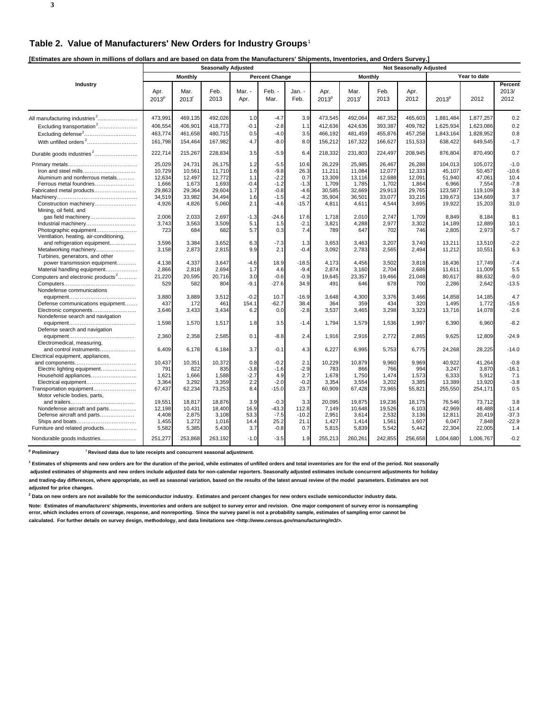**3**

**[Estimates are shown in millions of dollars and are based on data from the Manufacturers' Shipments, Inventories, and Orders Survey.]** 

|                                                                   |                           |                  | <b>Seasonally Adjusted</b> |                |                       |                | <b>Not Seasonally Adjusted</b> |                             |              |              |                   |                 |                          |
|-------------------------------------------------------------------|---------------------------|------------------|----------------------------|----------------|-----------------------|----------------|--------------------------------|-----------------------------|--------------|--------------|-------------------|-----------------|--------------------------|
|                                                                   |                           | Monthiv          |                            |                | <b>Percent Change</b> |                |                                | <b>Monthly</b>              |              |              |                   | Year to date    |                          |
| Industry                                                          | Apr.<br>2013 <sup>p</sup> | Mar.<br>$2013^r$ | Feb.<br>2013               | Mar. -<br>Apr. | Feb. -<br>Mar.        | Jan. -<br>Feb. | Apr.<br>2013 <sup>p</sup>      | Mar.<br>$2013$ <sup>r</sup> | Feb.<br>2013 | Apr.<br>2012 | 2013 <sup>p</sup> | 2012            | Percent<br>2013/<br>2012 |
|                                                                   | 473,991                   | 469,135          | 492,026                    | 1.0            | $-4.7$                | 3.9            | 473,545                        | 492,064                     | 467,352      | 465,603      | 1,881,484         | 1,877,257       | 0.2                      |
| Excluding transportation <sup>2</sup>                             | 406,554                   | 406,901          | 418,773                    | $-0.1$         | $-2.8$                | 1.1            | 412,636                        | 424,636                     | 393,387      | 409,782      | 1,625,934         | 1,623,086       | 0.2                      |
|                                                                   | 463,774                   | 461,658          | 480,715                    | 0.5            | $-4.0$                | 3.5            | 466,192                        | 481,459                     | 455,876      | 457,258      | 1,843,164         | 1,828,952       | 0.8                      |
| With unfilled orders <sup>2</sup>                                 | 161,798                   | 154,464          | 167,982                    | 4.7            | $-8.0$                | 8.0            | 156,212                        | 167,322                     | 166,627      | 151,533      | 638,422           | 649,545         | $-1.7$                   |
| Durable goods industries <sup>2</sup>                             | 222,714                   | 215,267          | 228,834                    | 3.5            | $-5.9$                | 6.4            | 218,332                        | 231,803                     | 224,497      | 208,945      | 876,804           | 870,490         | 0.7                      |
|                                                                   | 25.029                    | 24,731           | 26,175                     | 1.2            | $-5.5$                | 10.6           | 26,229                         | 25,985                      | 26,467       | 26,288       | 104,013           | 105.072         | $-1.0$                   |
| Iron and steel mills                                              | 10,729                    | 10,561           | 11,710                     | 1.6            | $-9.8$                | 26.3           | 11,211                         | 11,084                      | 12,077       | 12,333       | 45,107            | 50,457          | $-10.6$                  |
| Aluminum and nonferrous metals                                    | 12,634                    | 12,497           | 12,772                     | 1.1            | $-2.2$                | 0.7            | 13,309                         | 13,116                      | 12,688       | 12,091       | 51,940            | 47,061          | 10.4                     |
| Ferrous metal foundries                                           | 1,666                     | 1,673            | 1,693                      | $-0.4$         | $-1.2$                | $-1.3$         | 1,709                          | 1,785                       | 1,702        | 1,864        | 6,966             | 7,554           | $-7.8$                   |
| Fabricated metal products                                         | 29,863                    | 29,364           | 29,604                     | 1.7            | $-0.8$                | $-4.6$         | 30,585                         | 32,669                      | 29,913       | 29,765       | 123,587           | 119,109         | 3.8                      |
|                                                                   | 34,519                    | 33,982           | 34,494                     | 1.6            | $-1.5$                | $-4.2$         | 35,904                         | 36,501                      | 33,077       | 33,216       | 139,673           | 134,669         | 3.7                      |
| Construction machinery<br>Mining, oil field, and                  | 4,926                     | 4,826            | 5,060                      | 2.1            | $-4.6$                | $-15.7$        | 4,811                          | 4,611                       | 4,544        | 3,695        | 19,922            | 15,203          | 31.0                     |
| gas field machinery                                               | 2,006                     | 2,033            | 2,697                      | $-1.3$         | $-24.6$               | 17.6           | 1,718                          | 2,010                       | 2,747        | 1,709        | 8,849             | 8,184           | 8.1                      |
| Industrial machinery                                              | 3,743                     | 3,563            | 3,509                      | 5.1            | 1.5                   | $-2.1$         | 3,821                          | 4,288                       | 2,977        | 3,302        | 14,189            | 12,889          | 10.1                     |
| Photographic equipment<br>Ventilation, heating, air-conditioning, | 723                       | 684              | 682                        | 5.7            | 0.3                   | 7.4            | 789                            | 647                         | 702          | 746          | 2,805             | 2,973           | $-5.7$                   |
| and refrigeration equipment                                       | 3,596                     | 3,384            | 3,652                      | 6.3            | $-7.3$                | 1.3            | 3,653                          | 3,463                       | 3,207        | 3,740        | 13,211            | 13,510          | $-2.2$                   |
| Metalworking machinery<br>Turbines, generators, and other         | 3,158                     | 2,873            | 2,815                      | 9.9            | 2.1                   | $-0.4$         | 3,092                          | 2,783                       | 2,565        | 2,494        | 11,212            | 10,551          | 6.3                      |
| power transmission equipment                                      | 4,138                     | 4,337            | 3,647                      | $-4.6$         | 18.9                  | $-18.5$        | 4,173                          | 4,456                       | 3,502        | 3,818        | 16,436            | 17,749          | $-7.4$                   |
| Material handling equipment                                       | 2,866                     | 2,818            | 2,694                      | 1.7            | 4.6                   | $-9.4$         | 2,874                          | 3,160                       | 2.704        | 2,686        | 11,611            | 11,009          | 5.5                      |
| Computers and electronic products <sup>2</sup>                    | 21,220                    | 20,595           | 20,716                     | 3.0            | $-0.6$                | $-0.9$         | 19,645                         | 23,357                      | 19,466       | 21,048       | 80,617            | 88,632          | $-9.0$                   |
| Nondefense communications                                         | 529                       | 582              | 804                        | $-9.1$         | $-27.6$               | 34.9           | 491                            | 646                         | 678          | 700          | 2,286             | 2,642           | $-13.5$                  |
|                                                                   | 3,880                     | 3,889            | 3,512                      | $-0.2$         | 10.7                  | $-16.9$        | 3,648                          | 4,300                       | 3,376        | 3,466        | 14,858            | 14,185          | 4.7                      |
| Defense communications equipment                                  | 437                       | 172              | 461                        | 154.1          | $-62.7$               | 38.4           | 364                            | 359                         | 434          | 320          | 1,495             | 1,772           | $-15.6$                  |
| Electronic components<br>Nondefense search and navigation         | 3,646                     | 3,433            | 3,434                      | 6.2            | 0.0                   | $-2.8$         | 3,537                          | 3,465                       | 3,298        | 3,323        | 13,716            | 14,078          | $-2.6$                   |
|                                                                   | 1,598                     | 1,570            | 1,517                      | 1.8            | 3.5                   | $-1.4$         | 1,794                          | 1,579                       | 1,536        | 1,997        | 6,390             | 6,960           | $-8.2$                   |
| Defense search and navigation                                     |                           |                  |                            |                |                       |                |                                |                             |              |              |                   |                 |                          |
|                                                                   | 2,360                     | 2,358            | 2,585                      | 0.1            | $-8.8$                | 2.4            | 1,916                          | 2,916                       | 2,772        | 2,865        | 9,625             | 12,809          | $-24.9$                  |
| Electromedical, measuring,                                        |                           |                  |                            |                |                       |                |                                |                             |              |              |                   |                 |                          |
| and control instruments                                           | 6,409                     | 6,178            | 6,184                      | 3.7            | $-0.1$                | 4.3            | 6,227                          | 6,995                       | 5,753        | 6,775        | 24,268            | 28,225          | $-14.0$                  |
| Electrical equipment, appliances,                                 |                           |                  |                            |                |                       |                |                                |                             |              |              |                   |                 | $-0.8$                   |
|                                                                   | 10,437<br>791             | 10,351<br>822    | 10,372<br>835              | 0.8<br>$-3.8$  | $-0.2$<br>$-1.6$      | 2.1<br>$-2.9$  | 10,229<br>783                  | 10,879<br>866               | 9,960<br>766 | 9,969<br>994 | 40,922<br>3,247   | 41,264<br>3,870 | $-16.1$                  |
| Electric lighting equipment<br>Household appliances               | 1,621                     | 1,666            | 1,588                      | $-2.7$         | 4.9                   | 2.7            | 1,678                          | 1,750                       | 1,474        | 1,573        | 6,333             | 5,912           | 7.1                      |
| Electrical equipment                                              | 3,364                     | 3,292            | 3,359                      | 2.2            | $-2.0$                | $-0.2$         | 3,354                          | 3,554                       | 3,202        | 3,385        | 13,389            | 13,920          | $-3.8$                   |
| Transportation equipment                                          | 67,437                    | 62,234           | 73,253                     | 8.4            | $-15.0$               | 23.7           | 60,909                         | 67,428                      | 73,965       | 55,821       | 255,550           | 254,171         | 0.5                      |
| Motor vehicle bodies, parts,                                      |                           |                  |                            |                |                       |                |                                |                             |              |              |                   |                 |                          |
|                                                                   | 19,551                    | 18,817           | 18,876                     | 3.9            | $-0.3$                | 3.3            | 20,095                         | 19,875                      | 19,236       | 18,175       | 76,546            | 73,712          | 3.8                      |
| Nondefense aircraft and parts                                     | 12,198                    | 10,431           | 18,400                     | 16.9           | $-43.3$               | 112.8          | 7,149                          | 10,648                      | 19,526       | 6,103        | 42,969            | 48,488          | $-11.4$                  |
| Defense aircraft and parts                                        | 4,408                     | 2,875            | 3,108                      | 53.3           | $-7.5$                | $-10.2$        | 2,951                          | 3,614                       | 2,532        | 3,136        | 12,811            | 20.419          | $-37.3$                  |
|                                                                   | 1,455                     | 1,272            | 1,016                      | 14.4           | 25.2                  | 21.1           | 1,427                          | 1,414                       | 1,561        | 1,607        | 6,047             | 7,848           | $-22.9$                  |
| Furniture and related products                                    | 5,582                     | 5,385            | 5,430                      | 3.7            | $-0.8$                | 0.7            | 5,815                          | 5,839                       | 5,542        | 5,442        | 22,304            | 22,005          | 1.4                      |
| Nondurable goods industries                                       | 251,277                   | 253,868          | 263,192                    | $-1.0$         | $-3.5$                | 1.9            | 255,213                        | 260,261                     | 242,855      | 256,658      | 1,004,680         | 1,006,767       | $-0.2$                   |

<sup>p</sup> Preliminary <sup>r</sup> Revised data due to late receipts and concurrent seasonal adjustment.

**1 Estimates of shipments and new orders are for the duration of the period, while estimates of unfilled orders and total inventories are for the end of the period. Not seasonally**

 **adjusted estimates of shipments and new orders include adjusted data for non-calendar reporters. Seasonally adjusted estimates include concurrent adjustments for holiday and trading-day differences, where appropriate, as well as seasonal variation, based on the results of the latest annual review of the model parameters. Estimates are not adjusted for price changes.**

**2 Data on new orders are not available for the semiconductor industry. Estimates and percent changes for new orders exclude semiconductor industry data.**

**Note: Estimates of manufacturers' shipments, inventories and orders are subject to survey error and revision. One major component of survey error is nonsampling error, which includes errors of coverage, response, and nonreporting. Since the survey panel is not a probability sample, estimates of sampling error cannot be calculated. For further details on survey design, methodology, and data limitations see <http://www.census.gov/manufacturing/m3/>.**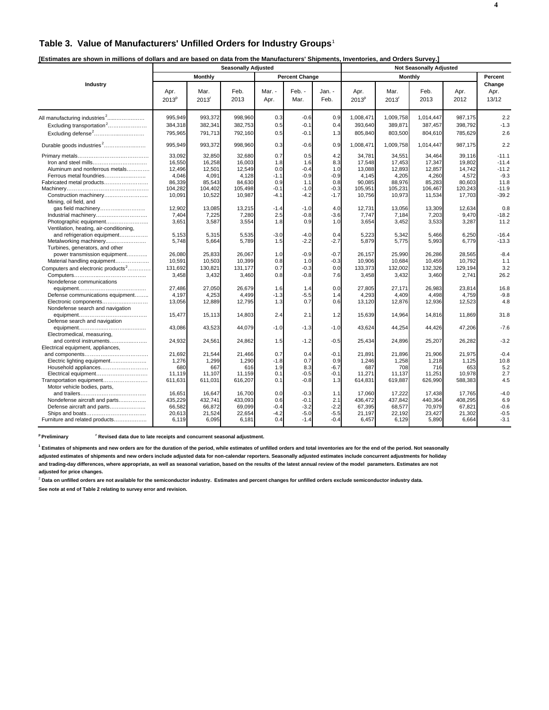### **Table 3. Value of Manufacturers' Unfilled Orders for Industry Groups**<sup>1</sup>

| [Estimates are shown in millions of dollars and are based on data from the Manufacturers' Shipments, Inventories, and Orders Survey.] |  |
|---------------------------------------------------------------------------------------------------------------------------------------|--|
|---------------------------------------------------------------------------------------------------------------------------------------|--|

|                                                                   |                           |                             | <b>Seasonally Adjusted</b> |                |                       |                |                           |                           |              |              |                         |
|-------------------------------------------------------------------|---------------------------|-----------------------------|----------------------------|----------------|-----------------------|----------------|---------------------------|---------------------------|--------------|--------------|-------------------------|
|                                                                   |                           | <b>Monthly</b>              |                            |                | <b>Percent Change</b> |                | <b>Monthly</b>            |                           |              |              | Percent                 |
| Industry                                                          | Apr.<br>2013 <sup>p</sup> | Mar.<br>$2013$ <sup>r</sup> | Feb.<br>2013               | Mar. -<br>Apr. | Feb. -<br>Mar.        | Jan. -<br>Feb. | Apr.<br>2013 <sup>p</sup> | Mar.<br>2013 <sup>r</sup> | Feb.<br>2013 | Apr.<br>2012 | Change<br>Apr.<br>13/12 |
| All manufacturing industries <sup>2</sup>                         | 995,949                   | 993,372                     | 998,960                    | 0.3            | $-0.6$                | 0.9            | 1,008,471                 | 1,009,758                 | 1,014,447    | 987,175      | 2.2                     |
| Excluding transportation <sup>2</sup>                             | 384,318                   | 382,341                     | 382,753                    | 0.5            | $-0.1$                | 0.4            | 393,640                   | 389,871                   | 387,457      | 398,792      | $-1.3$                  |
| Excluding defense <sup>2</sup>                                    | 795,965                   | 791,713                     | 792,160                    | 0.5            | $-0.1$                | 1.3            | 805,840                   | 803,500                   | 804,610      | 785,629      | 2.6                     |
| Durable goods industries <sup>2</sup>                             | 995,949                   | 993,372                     | 998,960                    | 0.3            | $-0.6$                | 0.9            | 1,008,471                 | 1,009,758                 | 1,014,447    | 987,175      | 2.2                     |
|                                                                   | 33,092                    | 32,850                      | 32,680                     | 0.7            | 0.5                   | 4.2            | 34,781                    | 34,551                    | 34,464       | 39,116       | $-11.1$                 |
|                                                                   | 16,550                    | 16,258                      | 16,003                     | 1.8            | 1.6                   | 8.3            | 17,548                    | 17,453                    | 17,347       | 19,802       | $-11.4$                 |
| Aluminum and nonferrous metals                                    | 12,496                    | 12,501                      | 12,549                     | 0.0            | $-0.4$                | 1.0            | 13,088                    | 12,893                    | 12,857       | 14,742       | $-11.2$                 |
| Ferrous metal foundries                                           | 4,046                     | 4,091                       | 4,128                      | $-1.1$         | $-0.9$                | $-0.9$         | 4,145                     | 4,205                     | 4,260        | 4,572        | $-9.3$                  |
| Fabricated metal products                                         | 86,339                    | 85,543                      | 84,630                     | 0.9            | 1.1                   | 0.8            | 90,085                    | 88,976                    | 85,283       | 80,603       | 11.8                    |
|                                                                   | 104,282                   | 104,402                     | 105,498                    | $-0.1$         | $-1.0$                | $-0.3$         | 105,951                   | 105,231                   | 106,467      | 120,243      | $-11.9$                 |
| Construction machinery<br>Mining, oil field, and                  | 10,091                    | 10,522                      | 10,987                     | $-4.1$         | $-4.2$                | $-1.7$         | 10,756                    | 10,973                    | 11,534       | 17,703       | $-39.2$                 |
| gas field machinery                                               | 12,902                    | 13,085                      | 13,215                     | -1.4           | $-1.0$                | 4.0            | 12,731                    | 13,056                    | 13,309       | 12,634       | 0.8                     |
| Industrial machinery                                              | 7,404                     | 7,225                       | 7,280                      | 2.5            | $-0.8$                | $-3.6$         | 7,747                     | 7,184                     | 7,203        | 9,470        | $-18.2$                 |
| Photographic equipment<br>Ventilation, heating, air-conditioning, | 3,651                     | 3,587                       | 3,554                      | 1.8            | 0.9                   | 1.0            | 3,654                     | 3,452                     | 3,533        | 3,287        | 11.2                    |
| and refrigeration equipment                                       | 5,153                     | 5,315                       | 5,535                      | $-3.0$         | $-4.0$                | 0.4            | 5,223                     | 5,342                     | 5,466        | 6,250        | $-16.4$                 |
| Metalworking machinery                                            | 5,748                     | 5,664                       | 5,789                      | 1.5            | $-2.2$                | $-2.7$         | 5,879                     | 5,775                     | 5,993        | 6,779        | $-13.3$                 |
| Turbines, generators, and other                                   |                           |                             |                            |                |                       |                |                           |                           |              |              |                         |
| power transmission equipment                                      | 26,080                    | 25,833                      | 26,067                     | 1.0            | $-0.9$                | $-0.7$         | 26,157                    | 25,990                    | 26,286       | 28,565       | $-8.4$                  |
| Material handling equipment                                       | 10,591                    | 10,503                      | 10,399                     | 0.8            | 1.0                   | $-0.3$         | 10,906                    | 10,684                    | 10,459       | 10,792       | 1.1                     |
| Computers and electronic products <sup>2</sup>                    | 131.692                   | 130,821                     | 131,177                    | 0.7            | $-0.3$                | 0.0            | 133,373                   | 132,002                   | 132,326      | 129.194      | 3.2                     |
| Nondefense communications                                         | 3,458                     | 3,432                       | 3,460                      | 0.8            | $-0.8$                | 7.6            | 3,458                     | 3,432                     | 3,460        | 2,741        | 26.2                    |
|                                                                   | 27.486                    | 27,050                      | 26,679                     | 1.6            | 1.4                   | 0.0            | 27,805                    | 27,171                    | 26,983       | 23,814       | 16.8                    |
| Defense communications equipment                                  | 4,197                     | 4,253                       | 4.499                      | $-1.3$         | $-5.5$                | 1.4            | 4,293                     | 4,409                     | 4.498        | 4,759        | $-9.8$                  |
| Electronic components<br>Nondefense search and navigation         | 13,056                    | 12,889                      | 12,795                     | 1.3            | 0.7                   | 0.6            | 13,120                    | 12,876                    | 12,936       | 12,523       | 4.8                     |
| Defense search and navigation                                     | 15,477                    | 15,113                      | 14,803                     | 2.4            | 2.1                   | 1.2            | 15,639                    | 14,964                    | 14,816       | 11,869       | 31.8                    |
|                                                                   | 43,086                    | 43,523                      | 44,079                     | $-1.0$         | $-1.3$                | $-1.0$         | 43,624                    | 44,254                    | 44,426       | 47,206       | $-7.6$                  |
| Electromedical, measuring,<br>and control instruments             | 24,932                    | 24,561                      | 24,862                     | 1.5            | $-1.2$                | $-0.5$         | 25,434                    | 24,896                    | 25,207       | 26,282       | $-3.2$                  |
| Electrical equipment, appliances,                                 |                           |                             |                            |                |                       |                |                           |                           |              |              |                         |
|                                                                   | 21,692                    | 21,544                      | 21,466                     | 0.7            | 0.4                   | $-0.1$         | 21,891                    | 21,896                    | 21,906       | 21,975       | $-0.4$                  |
| Electric lighting equipment                                       | 1,276                     | 1,299                       | 1,290                      | $-1.8$         | 0.7                   | 0.9            | 1,246                     | 1,258                     | 1,218        | 1,125        | 10.8                    |
| Household appliances                                              | 680                       | 667                         | 616                        | 1.9            | 8.3                   | $-6.7$         | 687                       | 708                       | 716          | 653          | 5.2                     |
| Electrical equipment                                              | 11,119                    | 11,107                      | 11,159                     | 0.1            | $-0.5$                | $-0.1$         | 11,271                    | 11,137                    | 11,251       | 10,978       | 2.7                     |
| Transportation equipment                                          | 611,631                   | 611,031                     | 616,207                    | 0.1            | $-0.8$                | 1.3            | 614,831                   | 619,887                   | 626,990      | 588,383      | 4.5                     |
| Motor vehicle bodies, parts,                                      |                           |                             |                            |                |                       |                |                           |                           |              |              |                         |
|                                                                   | 16,651                    | 16,647                      | 16,700                     | 0.0            | $-0.3$                | 1.1            | 17,060                    | 17,222                    | 17,438       | 17,765       | $-4.0$                  |
| Nondefense aircraft and parts                                     | 435,229                   | 432,741                     | 433,093                    | 0.6            | $-0.1$                | 2.1            | 436,472                   | 437,842                   | 440,364      | 408,295      | 6.9                     |
| Defense aircraft and parts                                        | 66,582                    | 66,872                      | 69,099                     | $-0.4$         | $-3.2$                | $-2.2$         | 67,395                    | 68,577                    | 70,979       | 67,821       | $-0.6$                  |
|                                                                   | 20,613                    | 21,524                      | 22,654                     | $-4.2$         | $-5.0$                | $-5.5$         | 21,197                    | 22,192                    | 23,427       | 21,302       | $-0.5$                  |
| Furniture and related products                                    | 6,119                     | 6,095                       | 6,181                      | 0.4            | $-1.4$                | $-0.4$         | 6,457                     | 6,129                     | 5,890        | 6,664        | $-3.1$                  |
|                                                                   |                           |                             |                            |                |                       |                |                           |                           |              |              |                         |

**p Preliminary r Revised data due to late receipts and concurrent seasonal adjustment.**

**1 Estimates of shipments and new orders are for the duration of the period, while estimates of unfilled orders and total inventories are for the end of the period. Not seasonally adjusted estimates of shipments and new orders include adjusted data for non-calendar reporters. Seasonally adjusted estimates include concurrent adjustments for holiday and trading-day differences, where appropriate, as well as seasonal variation, based on the results of the latest annual review of the model parameters. Estimates are not adjusted for price changes.**

<sup>2</sup> Data on unfilled orders are not available for the semiconductor industry. Estimates and percent changes for unfilled orders exclude semiconductor industry data.

**See note at end of Table 2 relating to survey error and revision.**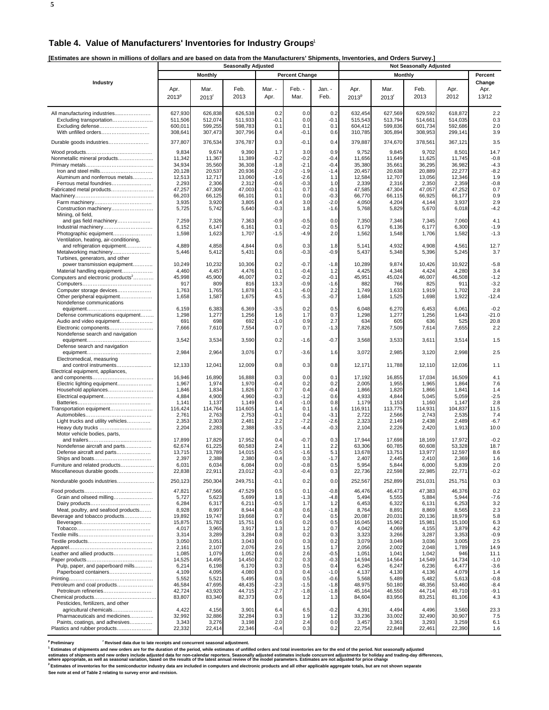#### **Table 4. Value of Manufacturers' Inventories for Industry Groups**<sup>1</sup>

**[Estimates are shown in millions of dollars and are based on data from the Manufacturers' Shipments, Inventories, and Orders Survey.]** 

|                                                              |                  |                   | <b>Seasonally Adjusted</b> |                  |                       |               |                   |                     |                                |                  |               |
|--------------------------------------------------------------|------------------|-------------------|----------------------------|------------------|-----------------------|---------------|-------------------|---------------------|--------------------------------|------------------|---------------|
|                                                              |                  | <b>Monthly</b>    |                            |                  | <b>Percent Change</b> |               |                   | <b>Monthly</b>      | <b>Not Seasonally Adjusted</b> |                  | Percent       |
| Industry                                                     |                  |                   |                            |                  |                       |               |                   |                     |                                |                  | Change        |
|                                                              | Apr.             | Mar.              | Feb.                       | Mar. -           | Feb. -                | Jan. -        | Apr.              | Mar.                | Feb.                           | Apr.             | Apr.          |
|                                                              | $2013^p$         | 2013 <sup>r</sup> | 2013                       | Apr.             | Mar.                  | Feb.          | 2013 <sup>p</sup> | $2013$ <sup>r</sup> | 2013                           | 2012             | 13/12         |
|                                                              |                  |                   |                            |                  |                       |               |                   |                     |                                |                  |               |
| All manufacturing industries                                 | 627,930          | 626,838           | 626,538                    | 0.2              | 0.0                   | 0.2           | 632,454           | 627,569             | 629,592                        | 618,872          | 2.2           |
| Excluding transportation                                     | 511,506          | 512,074           | 511,933                    | $-0.1$           | 0.0                   | $-0.1$        | 515,543           | 513,794             | 514,661                        | 514,035          | 0.3           |
| Excluding defense                                            | 600,011          | 599,255           | 598,783                    | 0.1              | 0.1                   | 0.1           | 604,412           | 599,836             | 601,734                        | 592,686          | 2.0           |
| With unfilled orders                                         | 308,641          | 307,473           | 307,796                    | 0.4              | -0.1                  | 0.6           | 310,785           | 305,894             | 308,953                        | 299,141          | 3.9           |
| Durable goods industries                                     | 377,807          | 376,534           | 376,787                    | 0.3              | $-0.1$                | 0.4           | 379,887           | 374,670             | 378,561                        | 367,121          | 3.5           |
|                                                              | 9,834            | 9,674             | 9,390                      | 1.7              | 3.0                   | 0.9           | 9,752             | 9,845               | 9,702                          | 8,501            | 14.7          |
| Nonmetallic mineral products                                 | 11,342           | 11,367            | 11,389                     | $-0.2$           | $-0.2$                | $-0.4$        | 11,656            | 11,649              | 11,625                         | 11,745           | $-0.8$        |
|                                                              | 34,934           | 35,560            | 36,308                     | $-1.8$           | $-2.1$                | $-0.4$        | 35,380            | 35,661              | 36,295                         | 36,982           | $-4.3$        |
| Aluminum and nonferrous metals                               | 20,128           | 20,537            | 20,936                     | $-2.0$           | $-1.9$                | $-1.4$        | 20,457<br>12,584  | 20,638              | 20,889                         | 22,277<br>12,346 | $-8.2$        |
| Ferrous metal foundries                                      | 12,513<br>2,293  | 12,717<br>2,306   | 13,060<br>2,312            | $-1.6$<br>$-0.6$ | $-2.6$<br>$-0.3$      | 1.1<br>1.0    | 2,339             | 12,707<br>2,316     | 13,056<br>2,350                | 2,359            | 1.9<br>$-0.8$ |
| Fabricated metal products                                    | 47,257           | 47,309            | 47,003                     | $-0.1$           | 0.7                   | $-0.1$        | 47,585            | 47,304              | 47,057                         | 47,252           | 0.7           |
|                                                              | 66,203           | 66,125            | 66,101                     | 0.1              | 0.0                   | $-0.3$        | 66,770            | 66,115              | 66,925                         | 66,177           | 0.9           |
|                                                              | 3,935            | 3,920             | 3,805                      | 0.4              | 3.0                   | $-2.0$        | 4,050             | 4,204               | 4,144                          | 3,937            | 2.9           |
| Construction machinery                                       | 5,725            | 5,742             | 5,640                      | $-0.3$           | 1.8                   | $-1.6$        | 5,768             | 5,829               | 5,670                          | 6,018            | $-4.2$        |
| Mining, oil field,<br>and gas field machinery                | 7,259            | 7,326             | 7,363                      | $-0.9$           | $-0.5$                | 0.0           | 7,350             | 7,346               | 7,345                          | 7,060            | 4.1           |
| Industrial machinery                                         | 6,152            | 6,147             | 6,161                      | 0.1              | $-0.2$                | 0.5           | 6,179             | 6,136               | 6,177                          | 6,300            | $-1.9$        |
| Photographic equipment                                       | 1,598            | 1,623             | 1,707                      | $-1.5$           | -4.9                  | 2.0           | 1,562             | 1,548               | 1,706                          | 1,582            | $-1.3$        |
| Ventilation, heating, air-conditioning,                      |                  |                   |                            |                  |                       |               |                   |                     |                                |                  |               |
| and refrigeration equipment                                  | 4,889            | 4,858             | 4,844                      | 0.6              | 0.3                   | 1.8           | 5,141             | 4,932               | 4,908                          | 4,561            | 12.7          |
| Turbines, generators, and other                              | 5,446            | 5,412             | 5,431                      | 0.6              | $-0.3$                | $-0.9$        | 5,437             | 5,348               | 5,396                          | 5,245            | 3.7           |
| power transmission equipment                                 | 10,249           | 10,232            | 10,306                     | 0.2              | $-0.7$                | $-1.8$        | 10,289            | 9,874               | 10,426                         | 10,922           | $-5.8$        |
| Material handling equipment                                  | 4,460            | 4,457             | 4,476                      | 0.1              | $-0.4$                | 1.2           | 4,425             | 4,346               | 4,424                          | 4,280            | 3.4           |
| Computers and electronic products <sup>2</sup>               | 45,998           | 45,900            | 46,007                     | 0.2              | $-0.2$                | $-0.1$        | 45,951            | 45,024              | 46,007                         | 46,508           | $-1.2$        |
|                                                              | 917              | 809               | 816                        | 13.3             | $-0.9$                | $-1.6$        | 882               | 766                 | 825                            | 911              | $-3.2$        |
| Computer storage devices                                     | 1,763            | 1,765             | 1,878                      | $-0.1$           | -6.0                  | 2.2           | 1,749             | 1,633               | 1,919                          | 1,702            | 2.8           |
| Other peripheral equipment<br>Nondefense communications      | 1,658            | 1,587             | 1,675                      | 4.5              | -5.3                  | $-0.7$        | 1,684             | 1,525               | 1,698                          | 1,922            | $-12.4$       |
|                                                              | 6,159            | 6,383             | 6,369                      | $-3.5$           | 0.2                   | 0.5           | 6,048             | 6,270               | 6,453                          | 6,061            | $-0.2$        |
| Defense communications equipment                             | 1,298            | 1,277             | 1,256                      | 1.6              | 1.7                   | 0.7           | 1,298             | 1,277               | 1,256                          | 1,643            | $-21.0$       |
| Audio and video equipment                                    | 691              | 698               | 692                        | $-1.0$           | 0.9                   | 2.7           | 634               | 605                 | 636                            | 525              | 20.8          |
| Electronic components                                        | 7,666            | 7,610             | 7,554                      | 0.7              | 0.7                   | $-1.3$        | 7,826             | 7,509               | 7,614                          | 7,655            | 2.2           |
| Nondefense search and navigation                             | 3,542            | 3,534             | 3,590                      | 0.2              | $-1.6$                | $-0.7$        | 3,568             | 3,533               | 3,611                          | 3,514            | 1.5           |
| Defense search and navigation                                |                  |                   |                            |                  |                       |               |                   |                     |                                |                  |               |
|                                                              | 2,984            | 2,964             | 3,076                      | 0.7              | $-3.6$                | 1.6           | 3,072             | 2,985               | 3,120                          | 2,998            | 2.5           |
| Electromedical, measuring                                    |                  |                   |                            |                  |                       |               |                   |                     |                                |                  |               |
| and control instruments                                      | 12,133           | 12,041            | 12,009                     | 0.8              | 0.3                   | 0.8           | 12,171            | 11,788              | 12,110                         | 12,036           | 1.1           |
| Electrical equipment, appliances,                            | 16,946           | 16,890            | 16,888                     | 0.3              | 0.0                   | 0.1           | 17,192            | 16,855              | 17,034                         | 16,509           | 4.1           |
| Electric lighting equipment                                  | 1,967            | 1,974             | 1,970                      | $-0.4$           | 0.2                   | 0.2           | 2,005             | 1,955               | 1,965                          | 1,864            | 7.6           |
| Household appliances                                         | 1,846            | 1,834             | 1,826                      | 0.7              | 0.4                   | $-0.4$        | 1,866             | 1,820               | 1,866                          | 1,84'            | 1.4           |
| Electrical equipment                                         | 4,884            | 4,900             | 4,960                      | $-0.3$           | $-1.2$                | 0.6           | 4,933             | 4,844               | 5,045                          | 5,059            | $-2.5$        |
|                                                              | 1,141            | 1,137             | 1,149                      | 0.4              | $-1.0$                | 0.8<br>1.6    | 1,179             | 1,153               | 1,160                          | 1,147            | 2.8<br>11.5   |
| Transportation equipment                                     | 116,424<br>2,761 | 114,764<br>2,763  | 114,605<br>2,753           | 1.4<br>$-0.1$    | 0.1<br>0.4            | $-3.1$        | 116,911<br>2,722  | 113,775<br>2,566    | 114,931<br>2,743               | 104,837<br>2,535 | 7.4           |
| Light trucks and utility vehicles                            | 2,353            | 2,303             | 2,481                      | 2.2              | $-7.2$                | $-2.6$        | 2,323             | 2,149               | 2,438                          | 2,489            | $-6.7$        |
|                                                              | 2,204            | 2,283             | 2,388                      | $-3.5$           | -4.4                  | $-0.3$        | 2,104             | 2,226               | 2,420                          | 1,913            | 10.0          |
| Motor vehicle bodies, parts,                                 |                  |                   |                            |                  |                       |               |                   |                     |                                |                  |               |
|                                                              | 17,899           | 17,829            | 17,952                     | 0.4              | $-0.7$                | 0.3           | 17,944            | 17,698              | 18,169                         | 17,972<br>53,328 | $-0.2$        |
| Nondefense aircraft and parts<br>Defense aircraft and parts  | 62,674<br>13,715 | 61,225<br>13,789  | 60,583<br>14,015           | 2.4<br>-0.5      | 1.1<br>$-1.6$         | 2.2<br>5.1    | 63,306<br>13,678  | 60,785<br>13,751    | 60,608<br>13,977               | 12,597           | 18.7<br>8.6   |
|                                                              | 2,397            | 2,388             | 2,380                      | 0.4              | 0.3                   | $-1.7$        | 2,407             | 2,445               | 2,410                          | 2,369            | 1.6           |
| Furniture and related products                               | 6,031            | 6,034             | 6,084                      | 0.0              | $-0.8$                | 0.5           | 5,954             | 5,844               | 6,000                          | 5,839            | 2.0           |
| Miscellaneous durable goods                                  | 22,838           | 22,911            | 23,012                     | $-0.3$           | -0.4                  | 0.3           | 22,736            | 22,598              | 22,985                         | 22,771           | $-0.2$        |
| Nondurable goods industries                                  | 250,123          | 250,304           | 249,751                    | $-0.1$           | 0.2                   | 0.0           | 252,567           | 252,899             | 251,031                        | 251,751          | 0.3           |
|                                                              |                  |                   |                            |                  | 0.1                   | $-0.8$        |                   |                     |                                |                  | 0.2           |
| Grain and oilseed milling                                    | 47,821<br>5,727  | 47,566<br>5,623   | 47,529<br>5,699            | 0.5<br>1.8       | $-1.3$                | $-4.8$        | 46,476<br>5,494   | 46,473<br>5,555     | 47,383<br>5,884                | 46,376<br>5,944  | $-7.6$        |
|                                                              | 6,284            | 6,317             | 6,211                      | $-0.5$           | 1.7                   | 1.2           | 6,453             | 6,322               | 6,131                          | 6,253            | 3.2           |
| Meat, poultry, and seafood products                          | 8,928            | 8,997             | 8,944                      | $-0.8$           | 0.6                   | $-1.8$        | 8,764             | 8,891               | 8,869                          | 8,565            | 2.3           |
| Beverage and tobacco products                                | 19,892           | 19,747            | 19,668                     | 0.7              | 0.4                   | 0.5           | 20,087            | 20,031              | 20,136                         | 18,979           | 5.8           |
|                                                              | 15,875           | 15,782            | 15,751                     | 0.6              | 0.2                   | 0.5           | 16,045            | 15,962              | 15,981                         | 15,100           | 6.3           |
|                                                              | 4,017<br>3,314   | 3,965<br>3,289    | 3,917<br>3,284             | 1.3<br>0.8       | 1.2<br>0.2            | 0.7<br>0.3    | 4,042<br>3,323    | 4,069<br>3,266      | 4,155<br>3,287                 | 3,879<br>3,353   | 4.2<br>$-0.9$ |
|                                                              | 3,050            | 3,051             | 3,043                      | 0.0              | 0.3                   | 0.2           | 3,079             | 3,049               | 3,036                          | 3,005            | 2.5           |
|                                                              | 2,161            | 2,107             | 2,076                      | 2.6              | 1.5                   | 1.7           | 2,056             | 2,002               | 2,048                          | 1,789            | 14.9          |
| Leather and allied products                                  | 1,085            | 1,079             | 1,052                      | 0.6              | 2.6                   | $-0.5$        | 1,051             | 1,041               | 1,042                          | 946              | 11.1          |
|                                                              | 14,525           | 14,495            | 14,450                     | 0.2              | 0.3                   | $-0.3$        | 14,594            | 14,564              | 14,549                         | 14,734           | $-1.0$        |
| Pulp, paper, and paperboard mills<br>Paperboard containers   | 6,214<br>4,109   | 6,198<br>4,095    | 6,170<br>4,080             | 0.3<br>0.3       | 0.5<br>0.4            | 0.4<br>$-1.0$ | 6,245<br>4,137    | 6,247<br>4,130      | 6,236<br>4,136                 | 6,477<br>4,079   | $-3.6$<br>1.4 |
|                                                              | 5,552            | 5,521             | 5,495                      | 0.6              | 0.5                   | $-0.6$        | 5,568             | 5,489               | 5,482                          | 5,613            | $-0.8$        |
| Petroleum and coal products                                  | 46,584           | 47,695            | 48,435                     | $-2.3$           | $-1.5$                | $-1.8$        | 48,975            | 50,180              | 48,356                         | 53,460           | $-8.4$        |
| Petroleum refineries                                         | 42,724           | 43,920            | 44,715                     | $-2.7$           | $-1.8$                | $-1.8$        | 45,164            | 46,550              | 44,714                         | 49,710           | $-9.1$        |
|                                                              | 83,807           | 83,340            | 82,373                     | 0.6              | 1.2                   | 1.3           | 84,604            | 83,956              | 83,251                         | 81,106           | 4.3           |
| Pesticides, fertilizers, and other<br>agricultural chemicals | 4,422            | 4,156             | 3,901                      | 6.4              | 6.5                   | $-0.2$        | 4,391             | 4,494               | 4,496                          | 3,560            | 23.3          |
| Pharmaceuticals and medicines                                | 32,992           | 32,886            | 32,284                     | 0.3              | 1.9                   | 1.2           | 33,236            | 33,002              | 32,490                         | 30,907           | 7.5           |
| Paints, coatings, and adhesives                              | 3,343            | 3,276             | 3,198                      | 2.0              | 2.4                   | 0.0           | 3,457             | 3,361               | 3,293                          | 3,259            | 6.1           |
| Plastics and rubber products                                 | 22,332           | 22,414            | 22,346                     | $-0.4$           | 0.3                   | 0.2           | 22,754            | 22,848              | 22,461                         | 22,390           | 1.6           |

<sup>p</sup> Preliminary **Revised data due to late receipts and concurrent seasonal adjustment.** 

<sup>1</sup> Estimates of shipments and new orders are for the duration of the period, while estimates of unfilled orders and total inventories are for the end of the period. Not seasonally adjusted<br>estimates of shipments and new o

**2 Estimates of inventories for the semiconductor industry data are included in computers and electronic products and all other applicable aggregate totals, but are not shown separate See note at end of Table 2 relating to survey error and revision.**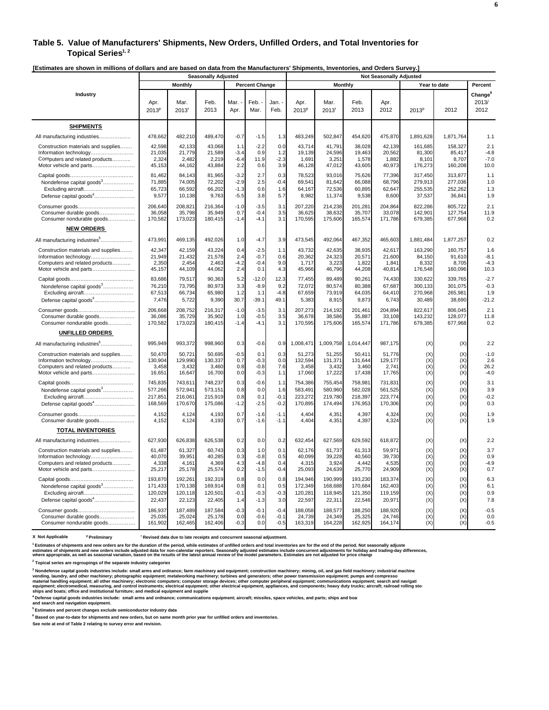#### **Table 5. Value of Manufacturers' Shipments, New Orders, Unfilled Orders, and Total Inventories for**  Topical Series<sup>1, 2</sup>

**[Estimates are shown in millions of dollars and are based on data from the Manufacturers' Shipments, Inventories, and Orders Survey.]** 

| LSuniales are shown in minions or uonars and are based on uata from the manufacturers' ompinents, inventories, and Orders ourve | <b>Seasonally Adjusted</b> |                             |              |                |                       |              |                           |                             |              | <b>Not Seasonally Adjusted</b> |                   |              |                                      |  |
|---------------------------------------------------------------------------------------------------------------------------------|----------------------------|-----------------------------|--------------|----------------|-----------------------|--------------|---------------------------|-----------------------------|--------------|--------------------------------|-------------------|--------------|--------------------------------------|--|
|                                                                                                                                 |                            | <b>Monthly</b>              |              |                | <b>Percent Change</b> |              |                           | <b>Monthly</b>              |              |                                |                   | Year to date | Percent                              |  |
| Industry                                                                                                                        | Apr.<br>2013 <sup>p</sup>  | Mar.<br>$2013$ <sup>r</sup> | Feb.<br>2013 | Mar. -<br>Apr. | Feb.<br>Mar.          | Jan.<br>Feb. | Apr.<br>2013 <sup>p</sup> | Mar.<br>$2013$ <sup>r</sup> | Feb.<br>2013 | Apr.<br>2012                   | 2013 <sup>p</sup> | 2012         | Change <sup>6</sup><br>2013/<br>2012 |  |
| <b>SHIPMENTS</b>                                                                                                                |                            |                             |              |                |                       |              |                           |                             |              |                                |                   |              |                                      |  |
| All manufacturing industries                                                                                                    | 478,662                    | 482,210                     | 489,470      | $-0.7$         | $-1.5$                | 1.3          | 483,249                   | 502,847                     | 454,620      | 475.870                        | 1,891,628         | 1,871,764    | 1.1                                  |  |
| Construction materials and supplies                                                                                             | 42,598                     | 42,133                      | 43,068       | 1.1            | $-2.2$                | 0.0          | 43,714                    | 41,791                      | 38,028       | 42,139                         | 161,685           | 158,327      | 2.1                                  |  |
| Information technology                                                                                                          | 21,035                     | 21,779                      | 21,589       | $-3.4$         | 0.9                   | 1.2          | 19,139                    | 24,596                      | 19,463       | 20,562                         | 81,300            | 85,417       | $-4.8$                               |  |
| Computers and related products                                                                                                  | 2,324                      | 2,482                       | 2,219        | $-6.4$         | 11.9                  | $-2.3$       | 1,691                     | 3,251                       | 1,578        | 1,882                          | 8,101             | 8,707        | $-7.0$                               |  |
| Motor vehicle and parts                                                                                                         | 45,153                     | 44,162                      | 43,884       | 2.2            | 0.6                   | 3.9          | 46,128                    | 47,012                      | 43,605       | 40,973                         | 176,273           | 160,208      | 10.0                                 |  |
|                                                                                                                                 | 81.462                     | 84.143                      | 81,965       | $-3.2$         | 2.7                   | 0.3          | 78.523                    | 93.016                      | 75,626       | 77.396                         | 317,450           | 313,877      | 1.1                                  |  |
| Nondefense capital goods <sup>3</sup>                                                                                           | 71,885                     | 74,005                      | 72,202       | $-2.9$         | 2.5                   | $-0.4$       | 69,541                    | 81,642                      | 66,088       | 68,796                         | 279,913           | 277,036      | 1.0                                  |  |
| Excluding aircraft                                                                                                              | 65,723                     | 66,592                      | 66,202       | $-1.3$         | 0.6                   | 1.6          | 64,167                    | 72,536                      | 60,895       | 62,647                         | 255,535           | 252,262      | 1.3                                  |  |
| Defense capital goods <sup>4</sup>                                                                                              | 9,577                      | 10,138                      | 9,763        | $-5.5$         | 3.8                   | 5.7          | 8,982                     | 11,374                      | 9,538        | 8,600                          | 37,537            | 36,841       | 1.9                                  |  |
|                                                                                                                                 | 206,640                    | 208.821                     | 216,364      | $-1.0$         | $-3.5$                | 3.1          | 207,220                   | 214,238                     | 201,281      | 204,864                        | 822,286           | 805,722      | 2.1                                  |  |
| Consumer durable goods                                                                                                          | 36,058                     | 35,798                      | 35,949       | 0.7            | $-0.4$                | 3.5          | 36,625                    | 38,632                      | 35,707       | 33,078                         | 142,901           | 127,754      | 11.9                                 |  |
| Consumer nondurable goods                                                                                                       | 170,582                    | 173,023                     | 180,415      | $-1.4$         | $-4.1$                | 3.1          | 170,595                   | 175,606                     | 165,574      | 171,786                        | 679,385           | 677,968      | 0.2                                  |  |
| <b>NEW ORDERS</b>                                                                                                               |                            |                             |              |                |                       |              |                           |                             |              |                                |                   |              |                                      |  |
| All manufacturing industries <sup>5</sup>                                                                                       | 473,991                    | 469,135                     | 492,026      | 1.0            | $-4.7$                | 3.9          | 473,545                   | 492,064                     | 467,352      | 465,603                        | 1,881,484         | 1,877,257    | 0.2                                  |  |
| Construction materials and supplies                                                                                             | 42,347                     | 42,159                      | 43,224       | 0.4            | $-2.5$                | 1.1          | 43,732                    | 42,635                      | 38,935       | 42,617                         | 163,290           | 160,757      | 1.6                                  |  |
| Information technology                                                                                                          | 21,949                     | 21,432                      | 21,578       | 2.4            | $-0.7$                | 0.6          | 20,362                    | 24,323                      | 20,571       | 21,600                         | 84,150            | 91,610       | $-8.1$                               |  |
| Computers and related products                                                                                                  | 2,350                      | 2,454                       | 2,463        | $-4.2$         | $-0.4$                | 9.0          | 1,717                     | 3,223                       | 1,822        | 1,841                          | 8,332             | 8,705        | $-4.3$                               |  |
| Motor vehicle and parts                                                                                                         | 45,157                     | 44,109                      | 44,062       | 2.4            | 0.1                   | 4.3          | 45,966                    | 46,796                      | 44,208       | 40,814                         | 176,548           | 160,096      | 10.3                                 |  |
|                                                                                                                                 | 83,686                     | 79,517                      | 90,363       | 5.2            | $-12.0$               | 12.3         | 77,455                    | 89,489                      | 90,261       | 74,430                         | 330.622           | 339,765      | $-2.7$                               |  |
| Nondefense capital goods <sup>3</sup>                                                                                           | 76,210                     | 73,795                      | 80,973       | 3.3            | $-8.9$                | 9.2          | 72,072                    | 80,574                      | 80,388       | 67,687                         | 300,133           | 301,075      | $-0.3$                               |  |
| Excluding aircraft                                                                                                              | 67,513                     | 66,734                      | 65,980       | 1.2            | 1.1                   | $-4.8$       | 67,659                    | 73,919                      | 64,035       | 64,410                         | 270,968           | 265,981      | 1.9                                  |  |
| Defense capital goods <sup>4</sup>                                                                                              | 7,476                      | 5,722                       | 9,390        | 30.7           | $-39.1$               | 49.1         | 5,383                     | 8,915                       | 9,873        | 6,743                          | 30,489            | 38,690       | $-21.2$                              |  |
|                                                                                                                                 | 206,668                    | 208,752                     | 216,317      | $-1.0$         | $-3.5$                | 3.1          | 207,273                   | 214,192                     | 201,461      | 204,894                        | 822,617           | 806,045      | 2.1                                  |  |
| Consumer durable goods                                                                                                          | 36,086                     | 35,729                      | 35,902       | 1.0            | $-0.5$                | 3.5          | 36,678                    | 38,586                      | 35,887       | 33,108                         | 143,232           | 128,077      | 11.8                                 |  |
| Consumer nondurable goods                                                                                                       | 170,582                    | 173,023                     | 180,415      | $-1.4$         | $-4.1$                | 3.1          | 170,595                   | 175,606                     | 165,574      | 171,786                        | 679,385           | 677,968      | 0.2                                  |  |
| <b>UNFILLED ORDERS</b>                                                                                                          |                            |                             |              |                |                       |              |                           |                             |              |                                |                   |              |                                      |  |
| All manufacturing industries <sup>5</sup>                                                                                       | 995,949                    | 993,372                     | 998,960      | 0.3            | $-0.6$                | 0.9          | 1,008,471                 | 1,009,758                   | 1,014,447    | 987,175                        | (X)               | (X)          | 2.2                                  |  |
| Construction materials and supplies                                                                                             | 50,470                     | 50,721                      | 50,695       | $-0.5$         | 0.1                   | 0.3          | 51,273                    | 51,255                      | 50,411       | 51,776                         | (X)               | (X)          | $-1.0$                               |  |
| Information technology                                                                                                          | 130,904                    | 129,990                     | 130,337      | 0.7            | $-0.3$                | 0.0          | 132,594                   | 131,371                     | 131,644      | 129,177                        | (X)               | (X)          | 2.6                                  |  |
| Computers and related products                                                                                                  | 3,458                      | 3,432                       | 3,460        | 0.8            | $-0.8$                | 7.6          | 3,458                     | 3,432                       | 3,460        | 2,741                          | (X)               | (X)          | 26.2                                 |  |
| Motor vehicle and parts                                                                                                         | 16,651                     | 16,647                      | 16,700       | 0.0            | $-0.3$                | 1.1          | 17,060                    | 17,222                      | 17,438       | 17,765                         | (X)               | (X)          | $-4.0$                               |  |
|                                                                                                                                 | 745,835                    | 743,611                     | 748,237      | 0.3            | $-0.6$                | 1.1          | 754,386                   | 755,454                     | 758,981      | 731,831                        | (X)               | (X)          | 3.1                                  |  |
| Nondefense capital goods <sup>3</sup>                                                                                           | 577,266                    | 572,941                     | 573,151      | 0.8            | 0.0                   | 1.6          | 583,491                   | 580,960                     | 582,028      | 561,525                        | (X)               | (X)          | 3.9                                  |  |
| Excluding aircraft                                                                                                              | 217,851                    | 216,061                     | 215,919      | 0.8            | 0.1                   | $-0.1$       | 223,272                   | 219,780                     | 218,397      | 223,774                        | (X)               | (X)          | $-0.2$                               |  |
| Defense capital goods <sup>4</sup>                                                                                              | 168,569                    | 170,670                     | 175,086      | $-1.2$         | $-2.5$                | $-0.2$       | 170,895                   | 174,494                     | 176,953      | 170,306                        | (X)               | (X)          | 0.3                                  |  |
|                                                                                                                                 | 4,152                      | 4,124                       | 4,193        | 0.7            | $-1.6$                | $-1.1$       | 4,404                     | 4,351                       | 4,397        | 4,324                          | (X)               | (X)          | 1.9                                  |  |
| Consumer durable goods                                                                                                          | 4,152                      | 4,124                       | 4,193        | 0.7            | $-1.6$                | $-1.1$       | 4,404                     | 4,351                       | 4,397        | 4,324                          | (X)               | (X)          | 1.9                                  |  |
| <b>TOTAL INVENTORIES</b>                                                                                                        |                            |                             |              |                |                       |              |                           |                             |              |                                |                   |              |                                      |  |
| All manufacturing industries                                                                                                    | 627,930                    | 626,838                     | 626,538      | 0.2            | 0.0                   | 0.2          | 632,454                   | 627,569                     | 629,592      | 618,872                        | (X)               | (X)          | 2.2                                  |  |
| Construction materials and supplies                                                                                             | 61,487                     | 61,327                      | 60,743       | 0.3            | 1.0                   | 0.1          | 62,176                    | 61,737                      | 61,313       | 59,971                         | (X)               | (X)          | 3.7                                  |  |
| Information technology                                                                                                          | 40,070                     | 39,951                      | 40,285       | 0.3            | $-0.8$                | 0.5          | 40,099                    | 39,228                      | 40,560       | 39,730                         | (X)               | (X)          | 0.9                                  |  |
| Computers and related products                                                                                                  | 4,338                      | 4,161                       | 4,369        | 4.3            | $-4.8$                | 0.4          | 4,315                     | 3,924                       | 4,442        | 4,535                          | (X)               | (X)          | $-4.9$                               |  |
| Motor vehicle and parts                                                                                                         | 25,217                     | 25,178                      | 25,574       | 0.2            | $-1.5$                | $-0.4$       | 25,093                    | 24,639                      | 25,770       | 24,909                         | (X)               | (X)          | 0.7                                  |  |
|                                                                                                                                 | 193,870                    | 192,261                     | 192,319      | 0.8            | 0.0                   | 0.8          | 194,946                   | 190,999                     | 193,230      | 183,374                        | (X)               | (X)          | 6.3                                  |  |
| Nondefense capital goods <sup>3</sup>                                                                                           | 171,433                    | 170,138                     | 169,914      | 0.8            | 0.1                   | 0.5          | 172,349                   | 168,688                     | 170,684      | 162,403                        | (X)               | (X)          | 6.1                                  |  |
| Excluding aircraft                                                                                                              | 120,029                    | 120,118                     | 120,501      | $-0.1$         | $-0.3$                | $-0.3$       | 120,281                   | 118,945                     | 121,350      | 119,159                        | (X)               | (X)          | 0.9                                  |  |
| Defense capital goods <sup>4</sup>                                                                                              | 22,437                     | 22,123                      | 22,405       | 1.4            | $-1.3$                | 3.0          | 22,597                    | 22,311                      | 22,546       | 20,971                         | (X)               | (X)          | 7.8                                  |  |
|                                                                                                                                 | 186,937                    | 187.489                     | 187,584      | $-0.3$         | $-0.1$                | $-0.4$       | 188,058                   | 188.577                     | 188,250      | 188,920                        | (X)               | (X)          | $-0.5$                               |  |
| Consumer durable goods                                                                                                          | 25,035                     | 25,024                      | 25,178       | 0.0            | $-0.6$                | $-0.1$       | 24,739                    | 24,349                      | 25,325       | 24,746                         | (X)               | (X)          | 0.0                                  |  |
| Consumer nondurable goods                                                                                                       | 161,902                    | 162,465                     | 162,406      | $-0.3$         | 0.0                   | $-0.5$       | 163,319                   | 164,228                     | 162,925      | 164,174                        | (X)               | (X)          | $-0.5$                               |  |

**X** Not Applicable *P* **Preliminary** *r* **Revised data due to late receipts and concurrent seasonal adjustment.** 

.<br>Estimates of shipments and new orders are for the duration of the period, while estimates of unfilled orders and total inventories are for the end of the period. Not seasonally adjuste<br>estimates of shipments and new orde

**2 Topical series are regroupings of the separate industry categories**

<sup>3</sup> Nondefense capital goods industries include: small arms and ordnance; farm machinery and equipment; construction machinery; mining, oil, and gas field machinery; industrial machine<br>vending, laundry, and other machinery

**4 Defense capital goods industries include: small arms and ordnance; communications equipment; aircraft; missiles, space vehicles, and parts; ships and boat and search and navigation equipment.**

**5 Estimates and percent changes exclude semiconductor industry data**

**6 Based on year-to-date for shipments and new orders, but on same month prior year for unfilled orders and inventories.**

**See note at end of Table 2 relating to survey error and revision.**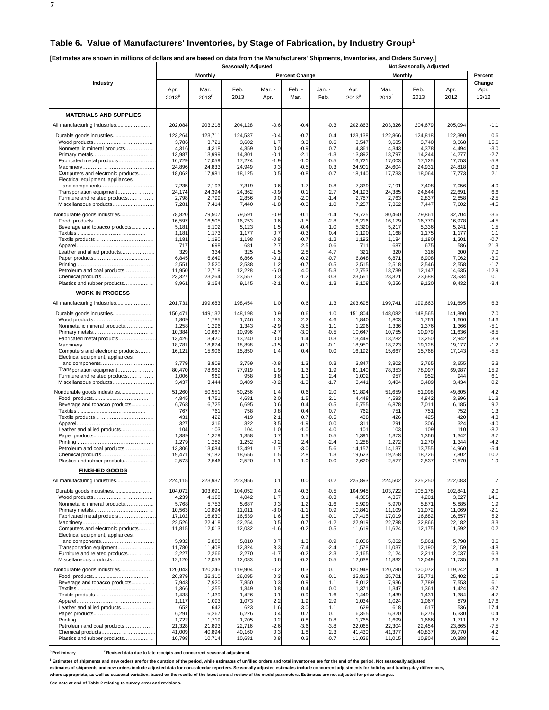**[Estimates are shown in millions of dollars and are based on data from the Manufacturers' Shipments, Inventories, and Orders Survey.]** 

| <b>Monthly</b><br><b>Percent Change</b><br><b>Monthly</b><br>Percent<br>Industry<br>Change<br>Feb. -<br>Apr.<br>Mar.<br>Feb.<br>Mar. -<br>Jan. -<br>Apr.<br>Mar.<br>Feb.<br>Apr.<br>Apr.<br>2013<br>2013<br>Feb.<br>2012<br>13/12<br>2013 <sup>p</sup><br>$2013$ <sup>r</sup><br>Mar.<br>2013 <sup>p</sup><br>$2013$ <sup>r</sup><br>Apr.<br><b>MATERIALS AND SUPPLIES</b><br>$-0.6$<br>All manufacturing industries<br>202,084<br>203,218<br>204,128<br>$-0.4$<br>$-0.3$<br>202,863<br>203,326<br>204,679<br>205,094<br>$-1.1$<br>123,264<br>123,711<br>124,537<br>$-0.4$<br>$-0.7$<br>0.4<br>123,138<br>122,866<br>124,818<br>122,390<br>3,786<br>3,721<br>3,602<br>0.6<br>3,547<br>3,685<br>3,068<br>1.7<br>3.3<br>3,740<br>4,318<br>4,359<br>0.0<br>$-0.9$<br>0.7<br>4,343<br>4,378<br>4,494<br>$-3.0$<br>Nonmetallic mineral products<br>4,316<br>4,361<br>13,987<br>13,999<br>14,301<br>$-0.1$<br>$-2.1$<br>$-1.3$<br>13,797<br>14,244<br>14,277<br>13,892<br>16,729<br>17,059<br>17,224<br>$-1.9$<br>$-1.0$<br>$-0.5$<br>16,721<br>17,003<br>17,125<br>17,753<br>Fabricated metal products<br>0.3<br>24,896<br>24,833<br>24,949<br>$-0.5$<br>0.3<br>24,901<br>24,604<br>0.3<br>24,931<br>24,818<br>18,062<br>17,981<br>0.5<br>$-0.8$<br>$-0.7$<br>18,140<br>17,733<br>2.1<br>Computers and electronic products<br>18,125<br>18,064<br>17,773<br>Electrical equipment, appliances,<br>0.8<br>4.0<br>7,235<br>7,193<br>7,319<br>0.6<br>$-1.7$<br>7,339<br>7,191<br>7,408<br>7,056<br>24,394<br>24,174<br>24,362<br>$-0.9$<br>0.1<br>2.7<br>24,193<br>24,385<br>24,644<br>22,691<br>Transportation equipment<br>2,799<br>$-2.5$<br>Furniture and related products<br>2,798<br>2,856<br>0.0<br>$-2.0$<br>$-1.4$<br>2,787<br>2,763<br>2,837<br>2,858<br>$-4.5$<br>7,281<br>7,414<br>7,440<br>1.0<br>7,257<br>7,362<br>7,602<br>Miscellaneous products<br>$-1.8$<br>$-0.3$<br>7,447<br>$-3.6$<br>78,820<br>79,507<br>79,591<br>$-0.9$<br>$-0.1$<br>$-1.4$<br>79,725<br>80,460<br>79,861<br>82,704<br>Nondurable goods industries<br>16,597<br>16,753<br>$-2.8$<br>16,179<br>16,505<br>0.6<br>$-1.5$<br>16,216<br>16,770<br>16,978<br>5,181<br>5,102<br>$-0.4$<br>5,320<br>5,217<br>5,336<br>5,241<br>Beverage and tobacco products<br>5,123<br>1.5<br>1.0<br>1,173<br>1.1<br>1,181<br>1,177<br>0.7<br>$-0.3$<br>0.4<br>1,190<br>1,168<br>1,175<br>1,177<br>$-1.2$<br>1,181<br>1,190<br>1,198<br>$-0.7$<br>1,192<br>1,180<br>1,201<br>$-0.8$<br>1,184<br>717<br>698<br>681<br>2.5<br>0.6<br>711<br>687<br>675<br>586<br>21.3<br>2.7<br>329<br>334<br>325<br>300<br>Leather and allied products<br>$-1.5$<br>2.8<br>-4.7<br>321<br>320<br>316<br>6,845<br>6,849<br>6,866<br>$-0.1$<br>$-0.2$<br>$-0.7$<br>6,848<br>6,871<br>6,908<br>7,062<br>2,551<br>2,520<br>2,538<br>$-0.7$<br>$-0.5$<br>2,515<br>2,518<br>2,546<br>2,558<br>$-1.7$<br>1.2<br>$-12.9$<br>11,950<br>12,718<br>$-6.0$<br>13,739<br>Petroleum and coal products<br>12,228<br>4.0<br>-5.3<br>12,753<br>12,147<br>14,635<br>23,327<br>23,264<br>23,557<br>0.3<br>$-1.2$<br>$-0.3$<br>23,551<br>23,321<br>23,688<br>23,534<br>Chemical products<br>8,961<br>9,154<br>9,145<br>0.1<br>9,256<br>9,120<br>9,432<br>$-3.4$<br>Plastics and rubber products<br>$-2.1$<br>1.3<br>9,108<br><b>WORK IN PROCESS</b><br>201,731<br>199,683<br>198.454<br>1.0<br>0.6<br>1.3<br>203,698<br>199,741<br>199,663<br>191,695<br>6.3<br>7.0<br>150,471<br>149,132<br>148,198<br>0.9<br>0.6<br>1.0<br>151,804<br>148,082<br>148,565<br>141,890<br>1,809<br>1,785<br>1,746<br>1.3<br>2.2<br>4.6<br>1,840<br>1,803<br>1,761<br>1,606<br>$-3.5$<br>1,296<br>$-2.9$<br>1,296<br>1,336<br>Nonmetallic mineral products<br>1,258<br>1,343<br>1.1<br>1,376<br>1,366<br>$-8.5$<br>10,384<br>10,667<br>10,996<br>$-2.7$<br>$-3.0$<br>$-0.5$<br>10,647<br>10,755<br>10,979<br>11,636<br>13,426<br>13,420<br>13,240<br>0.3<br>13,449<br>13,282<br>13,250<br>12,942<br>Fabricated metal products<br>0.0<br>1.4<br>18,781<br>18,950<br>18,874<br>18,898<br>$-0.5$<br>$-0.1$<br>$-0.1$<br>18,723<br>19,128<br>19,177<br>$-5.5$<br>15,906<br>Computers and electronic products<br>16,121<br>15,850<br>0.4<br>0.0<br>16,192<br>15,667<br>15,768<br>17,143<br>1.4<br>Electrical equipment, appliances,<br>3,779<br>3,809<br>3,759<br>$-0.8$<br>1.3<br>0.3<br>3,847<br>3,802<br>3,765<br>3,655<br>and components<br>78,962<br>80,470<br>77,919<br>1.9<br>1.3<br>1.9<br>81,140<br>78,353<br>78,097<br>69,987<br>15.9<br>Transportation equipment<br>1,006<br>969<br>958<br>3.8<br>2.4<br>1,002<br>957<br>952<br>Furniture and related products<br>1.1<br>944<br>$-1.7$<br>3,444<br>Miscellaneous products<br>3,437<br>3,489<br>$-0.2$<br>$-1.3$<br>3,441<br>3,404<br>3,489<br>3,434<br>51,260<br>50,551<br>50,256<br>0.6<br>2.0<br>51,894<br>51,659<br>51,098<br>49,805<br>Nondurable goods industries<br>1.4<br>4,845<br>4,751<br>4,681<br>2.1<br>4,448<br>4,593<br>3,996<br>11.3<br>2.0<br>1.5<br>4,842<br>6,768<br>6,725<br>6,695<br>0.4<br>$-0.5$<br>6,755<br>6,878<br>6,185<br>Beverage and tobacco products<br>0.6<br>7,011<br>767<br>761<br>758<br>0.4<br>0.7<br>762<br>751<br>751<br>0.8<br>752<br>425<br>431<br>422<br>419<br>$-0.5$<br>438<br>420<br>4.3<br>2.1<br>0.7<br>426<br>327<br>316<br>322<br>$-1.9$<br>0.0<br>311<br>291<br>306<br>324<br>3.5<br>104<br>103<br>104<br>$-1.0$<br>4.0<br>101<br>103<br>109<br>110<br>Leather and allied products<br>1.0<br>3.7<br>1,389<br>1,379<br>1,358<br>0.7<br>1.5<br>0.5<br>1,391<br>1,366<br>1,342<br>1,373<br>1,279<br>1,282<br>1,252<br>$-0.2$<br>2.4<br>$-2.4$<br>1,288<br>1,272<br>1,270<br>1,344<br>$-5.4$<br>13,084<br>13,491<br>$-3.0$<br>14,960<br>Petroleum and coal products<br>13,306<br>1.7<br>5.6<br>14,157<br>14,137<br>13,755<br>1.3<br>19,471<br>19,182<br>18,656<br>2.8<br>19,623<br>19,258<br>18,726<br>17,802<br>Chemical products<br>1.5<br>2,546<br>1.0<br>0.0<br>2,620<br>2,577<br>Plastics and rubber products<br>2,573<br>2,520<br>1.1<br>2,537<br>2,570<br><b>FINISHED GOODS</b><br>All manufacturing industries<br>224,115<br>223,937<br>223,956<br>0.1<br>0.0<br>$-0.2$<br>225,893<br>224,502<br>225,250<br>222,083<br>$-0.5$<br>Durable goods industries<br>104.072<br>103,691<br>104,052<br>0.4<br>$-0.3$<br>104.945<br>103,722<br>105,178<br>102,841<br>4,239<br>4,168<br>4,042<br>1.7<br>3.1<br>$-0.3$<br>4,365<br>4,357<br>4,201<br>3,827<br>14.1<br>Nonmetallic mineral products<br>5,768<br>5,753<br>5,687<br>0.3<br>1.2<br>$-1.6$<br>5,999<br>5,970<br>5,871<br>5,885<br>10,563<br>10,894<br>11,011<br>$-3.0$<br>$-1.1$<br>0.9<br>10,841<br>11,109<br>11,072<br>11,069<br>17,102<br>16,830<br>16,539<br>1.6<br>1.8<br>$-0.1$<br>17,415<br>17,019<br>16,682<br>16,557<br>5.2<br>Fabricated metal products<br>22,526<br>22,418<br>22,254<br>0.5<br>0.7<br>$-1.2$<br>22,919<br>22,788<br>22,182<br>22,866<br>12,013<br>0.5<br>Computers and electronic products<br>11,815<br>12,032<br>$-1.6$<br>$-0.2$<br>11,619<br>11,624<br>12,175<br>11,592<br>Electrical equipment, appliances,<br>$-0.9$<br>5,932<br>5,888<br>5,810<br>0.7<br>1.3<br>6,006<br>5,861<br>5,798<br>and components<br>5,862<br>11,780<br>11,408<br>12,324<br>$-7.4$<br>11,578<br>11,037<br>3.3<br>$-2.4$<br>12,190<br>12,159<br>Transportation equipment<br>2,227<br>2,266<br>2,270<br>$-1.7$<br>$-0.2$<br>2.3<br>2,165<br>2,124<br>2,211<br>2,037<br>6.3<br>Furniture and related products<br>Miscellaneous products<br>$-0.2$<br>0.5<br>12,038<br>12,120<br>12,053<br>12,083<br>0.6<br>11,832<br>12,049<br>11,735<br>120.043<br>120.246<br>119,904<br>$-0.2$<br>0.3<br>0.1<br>120,948<br>120,780<br>120,072<br>119.242<br>Nondurable goods industries<br>26,379<br>26,095<br>0.3<br>0.8<br>25,812<br>1.6<br>26,310<br>$-0.1$<br>25,701<br>25,771<br>25,402 |                               |       |       | <b>Seasonally Adjusted</b> |     |     |     |       |       |       |       |               |
|------------------------------------------------------------------------------------------------------------------------------------------------------------------------------------------------------------------------------------------------------------------------------------------------------------------------------------------------------------------------------------------------------------------------------------------------------------------------------------------------------------------------------------------------------------------------------------------------------------------------------------------------------------------------------------------------------------------------------------------------------------------------------------------------------------------------------------------------------------------------------------------------------------------------------------------------------------------------------------------------------------------------------------------------------------------------------------------------------------------------------------------------------------------------------------------------------------------------------------------------------------------------------------------------------------------------------------------------------------------------------------------------------------------------------------------------------------------------------------------------------------------------------------------------------------------------------------------------------------------------------------------------------------------------------------------------------------------------------------------------------------------------------------------------------------------------------------------------------------------------------------------------------------------------------------------------------------------------------------------------------------------------------------------------------------------------------------------------------------------------------------------------------------------------------------------------------------------------------------------------------------------------------------------------------------------------------------------------------------------------------------------------------------------------------------------------------------------------------------------------------------------------------------------------------------------------------------------------------------------------------------------------------------------------------------------------------------------------------------------------------------------------------------------------------------------------------------------------------------------------------------------------------------------------------------------------------------------------------------------------------------------------------------------------------------------------------------------------------------------------------------------------------------------------------------------------------------------------------------------------------------------------------------------------------------------------------------------------------------------------------------------------------------------------------------------------------------------------------------------------------------------------------------------------------------------------------------------------------------------------------------------------------------------------------------------------------------------------------------------------------------------------------------------------------------------------------------------------------------------------------------------------------------------------------------------------------------------------------------------------------------------------------------------------------------------------------------------------------------------------------------------------------------------------------------------------------------------------------------------------------------------------------------------------------------------------------------------------------------------------------------------------------------------------------------------------------------------------------------------------------------------------------------------------------------------------------------------------------------------------------------------------------------------------------------------------------------------------------------------------------------------------------------------------------------------------------------------------------------------------------------------------------------------------------------------------------------------------------------------------------------------------------------------------------------------------------------------------------------------------------------------------------------------------------------------------------------------------------------------------------------------------------------------------------------------------------------------------------------------------------------------------------------------------------------------------------------------------------------------------------------------------------------------------------------------------------------------------------------------------------------------------------------------------------------------------------------------------------------------------------------------------------------------------------------------------------------------------------------------------------------------------------------------------------------------------------------------------------------------------------------------------------------------------------------------------------------------------------------------------------------------------------------------------------------------------------------------------------------------------------------------------------------------------------------------------------------------------------------------------------------------------------------------------------------------------------------------------------------------------------------------------------------------------------------------------------------------------------------------------------------------------------------------------------------------------------------------------------------------------------------------------------------------------------------------------------------------------------------------------------------------------------------------------------------------------------------------------------------------------------------------------------------------------------------------------------------------------------------------------------------------------------------------------------------------------------------------------------------------------------------------------------------------------------------------------------------------------------------------------------------------------------------------------------------------------------------------------------------------------------------------------------------------------------------------------------------------------------------------------------------------------------------------------------------------------------------------------------------------------|-------------------------------|-------|-------|----------------------------|-----|-----|-----|-------|-------|-------|-------|---------------|
|                                                                                                                                                                                                                                                                                                                                                                                                                                                                                                                                                                                                                                                                                                                                                                                                                                                                                                                                                                                                                                                                                                                                                                                                                                                                                                                                                                                                                                                                                                                                                                                                                                                                                                                                                                                                                                                                                                                                                                                                                                                                                                                                                                                                                                                                                                                                                                                                                                                                                                                                                                                                                                                                                                                                                                                                                                                                                                                                                                                                                                                                                                                                                                                                                                                                                                                                                                                                                                                                                                                                                                                                                                                                                                                                                                                                                                                                                                                                                                                                                                                                                                                                                                                                                                                                                                                                                                                                                                                                                                                                                                                                                                                                                                                                                                                                                                                                                                                                                                                                                                                                                                                                                                                                                                                                                                                                                                                                                                                                                                                                                                                                                                                                                                                                                                                                                                                                                                                                                                                                                                                                                                                                                                                                                                                                                                                                                                                                                                                                                                                                                                                                                                                                                                                                                                                                                                                                                                                                                                                                                                                                                                                                                                                                                                                                                                                                                                                                                                                                                                                                                                                                                                                                                                                                                |                               |       |       |                            |     |     |     |       |       |       |       |               |
|                                                                                                                                                                                                                                                                                                                                                                                                                                                                                                                                                                                                                                                                                                                                                                                                                                                                                                                                                                                                                                                                                                                                                                                                                                                                                                                                                                                                                                                                                                                                                                                                                                                                                                                                                                                                                                                                                                                                                                                                                                                                                                                                                                                                                                                                                                                                                                                                                                                                                                                                                                                                                                                                                                                                                                                                                                                                                                                                                                                                                                                                                                                                                                                                                                                                                                                                                                                                                                                                                                                                                                                                                                                                                                                                                                                                                                                                                                                                                                                                                                                                                                                                                                                                                                                                                                                                                                                                                                                                                                                                                                                                                                                                                                                                                                                                                                                                                                                                                                                                                                                                                                                                                                                                                                                                                                                                                                                                                                                                                                                                                                                                                                                                                                                                                                                                                                                                                                                                                                                                                                                                                                                                                                                                                                                                                                                                                                                                                                                                                                                                                                                                                                                                                                                                                                                                                                                                                                                                                                                                                                                                                                                                                                                                                                                                                                                                                                                                                                                                                                                                                                                                                                                                                                                                                |                               |       |       |                            |     |     |     |       |       |       |       |               |
|                                                                                                                                                                                                                                                                                                                                                                                                                                                                                                                                                                                                                                                                                                                                                                                                                                                                                                                                                                                                                                                                                                                                                                                                                                                                                                                                                                                                                                                                                                                                                                                                                                                                                                                                                                                                                                                                                                                                                                                                                                                                                                                                                                                                                                                                                                                                                                                                                                                                                                                                                                                                                                                                                                                                                                                                                                                                                                                                                                                                                                                                                                                                                                                                                                                                                                                                                                                                                                                                                                                                                                                                                                                                                                                                                                                                                                                                                                                                                                                                                                                                                                                                                                                                                                                                                                                                                                                                                                                                                                                                                                                                                                                                                                                                                                                                                                                                                                                                                                                                                                                                                                                                                                                                                                                                                                                                                                                                                                                                                                                                                                                                                                                                                                                                                                                                                                                                                                                                                                                                                                                                                                                                                                                                                                                                                                                                                                                                                                                                                                                                                                                                                                                                                                                                                                                                                                                                                                                                                                                                                                                                                                                                                                                                                                                                                                                                                                                                                                                                                                                                                                                                                                                                                                                                                |                               |       |       |                            |     |     |     |       |       |       |       |               |
|                                                                                                                                                                                                                                                                                                                                                                                                                                                                                                                                                                                                                                                                                                                                                                                                                                                                                                                                                                                                                                                                                                                                                                                                                                                                                                                                                                                                                                                                                                                                                                                                                                                                                                                                                                                                                                                                                                                                                                                                                                                                                                                                                                                                                                                                                                                                                                                                                                                                                                                                                                                                                                                                                                                                                                                                                                                                                                                                                                                                                                                                                                                                                                                                                                                                                                                                                                                                                                                                                                                                                                                                                                                                                                                                                                                                                                                                                                                                                                                                                                                                                                                                                                                                                                                                                                                                                                                                                                                                                                                                                                                                                                                                                                                                                                                                                                                                                                                                                                                                                                                                                                                                                                                                                                                                                                                                                                                                                                                                                                                                                                                                                                                                                                                                                                                                                                                                                                                                                                                                                                                                                                                                                                                                                                                                                                                                                                                                                                                                                                                                                                                                                                                                                                                                                                                                                                                                                                                                                                                                                                                                                                                                                                                                                                                                                                                                                                                                                                                                                                                                                                                                                                                                                                                                                |                               |       |       |                            |     |     |     |       |       |       |       |               |
|                                                                                                                                                                                                                                                                                                                                                                                                                                                                                                                                                                                                                                                                                                                                                                                                                                                                                                                                                                                                                                                                                                                                                                                                                                                                                                                                                                                                                                                                                                                                                                                                                                                                                                                                                                                                                                                                                                                                                                                                                                                                                                                                                                                                                                                                                                                                                                                                                                                                                                                                                                                                                                                                                                                                                                                                                                                                                                                                                                                                                                                                                                                                                                                                                                                                                                                                                                                                                                                                                                                                                                                                                                                                                                                                                                                                                                                                                                                                                                                                                                                                                                                                                                                                                                                                                                                                                                                                                                                                                                                                                                                                                                                                                                                                                                                                                                                                                                                                                                                                                                                                                                                                                                                                                                                                                                                                                                                                                                                                                                                                                                                                                                                                                                                                                                                                                                                                                                                                                                                                                                                                                                                                                                                                                                                                                                                                                                                                                                                                                                                                                                                                                                                                                                                                                                                                                                                                                                                                                                                                                                                                                                                                                                                                                                                                                                                                                                                                                                                                                                                                                                                                                                                                                                                                                |                               |       |       |                            |     |     |     |       |       |       |       | 0.6           |
|                                                                                                                                                                                                                                                                                                                                                                                                                                                                                                                                                                                                                                                                                                                                                                                                                                                                                                                                                                                                                                                                                                                                                                                                                                                                                                                                                                                                                                                                                                                                                                                                                                                                                                                                                                                                                                                                                                                                                                                                                                                                                                                                                                                                                                                                                                                                                                                                                                                                                                                                                                                                                                                                                                                                                                                                                                                                                                                                                                                                                                                                                                                                                                                                                                                                                                                                                                                                                                                                                                                                                                                                                                                                                                                                                                                                                                                                                                                                                                                                                                                                                                                                                                                                                                                                                                                                                                                                                                                                                                                                                                                                                                                                                                                                                                                                                                                                                                                                                                                                                                                                                                                                                                                                                                                                                                                                                                                                                                                                                                                                                                                                                                                                                                                                                                                                                                                                                                                                                                                                                                                                                                                                                                                                                                                                                                                                                                                                                                                                                                                                                                                                                                                                                                                                                                                                                                                                                                                                                                                                                                                                                                                                                                                                                                                                                                                                                                                                                                                                                                                                                                                                                                                                                                                                                |                               |       |       |                            |     |     |     |       |       |       |       | 15.6          |
|                                                                                                                                                                                                                                                                                                                                                                                                                                                                                                                                                                                                                                                                                                                                                                                                                                                                                                                                                                                                                                                                                                                                                                                                                                                                                                                                                                                                                                                                                                                                                                                                                                                                                                                                                                                                                                                                                                                                                                                                                                                                                                                                                                                                                                                                                                                                                                                                                                                                                                                                                                                                                                                                                                                                                                                                                                                                                                                                                                                                                                                                                                                                                                                                                                                                                                                                                                                                                                                                                                                                                                                                                                                                                                                                                                                                                                                                                                                                                                                                                                                                                                                                                                                                                                                                                                                                                                                                                                                                                                                                                                                                                                                                                                                                                                                                                                                                                                                                                                                                                                                                                                                                                                                                                                                                                                                                                                                                                                                                                                                                                                                                                                                                                                                                                                                                                                                                                                                                                                                                                                                                                                                                                                                                                                                                                                                                                                                                                                                                                                                                                                                                                                                                                                                                                                                                                                                                                                                                                                                                                                                                                                                                                                                                                                                                                                                                                                                                                                                                                                                                                                                                                                                                                                                                                |                               |       |       |                            |     |     |     |       |       |       |       | $-2.7$        |
|                                                                                                                                                                                                                                                                                                                                                                                                                                                                                                                                                                                                                                                                                                                                                                                                                                                                                                                                                                                                                                                                                                                                                                                                                                                                                                                                                                                                                                                                                                                                                                                                                                                                                                                                                                                                                                                                                                                                                                                                                                                                                                                                                                                                                                                                                                                                                                                                                                                                                                                                                                                                                                                                                                                                                                                                                                                                                                                                                                                                                                                                                                                                                                                                                                                                                                                                                                                                                                                                                                                                                                                                                                                                                                                                                                                                                                                                                                                                                                                                                                                                                                                                                                                                                                                                                                                                                                                                                                                                                                                                                                                                                                                                                                                                                                                                                                                                                                                                                                                                                                                                                                                                                                                                                                                                                                                                                                                                                                                                                                                                                                                                                                                                                                                                                                                                                                                                                                                                                                                                                                                                                                                                                                                                                                                                                                                                                                                                                                                                                                                                                                                                                                                                                                                                                                                                                                                                                                                                                                                                                                                                                                                                                                                                                                                                                                                                                                                                                                                                                                                                                                                                                                                                                                                                                |                               |       |       |                            |     |     |     |       |       |       |       | $-5.8$        |
|                                                                                                                                                                                                                                                                                                                                                                                                                                                                                                                                                                                                                                                                                                                                                                                                                                                                                                                                                                                                                                                                                                                                                                                                                                                                                                                                                                                                                                                                                                                                                                                                                                                                                                                                                                                                                                                                                                                                                                                                                                                                                                                                                                                                                                                                                                                                                                                                                                                                                                                                                                                                                                                                                                                                                                                                                                                                                                                                                                                                                                                                                                                                                                                                                                                                                                                                                                                                                                                                                                                                                                                                                                                                                                                                                                                                                                                                                                                                                                                                                                                                                                                                                                                                                                                                                                                                                                                                                                                                                                                                                                                                                                                                                                                                                                                                                                                                                                                                                                                                                                                                                                                                                                                                                                                                                                                                                                                                                                                                                                                                                                                                                                                                                                                                                                                                                                                                                                                                                                                                                                                                                                                                                                                                                                                                                                                                                                                                                                                                                                                                                                                                                                                                                                                                                                                                                                                                                                                                                                                                                                                                                                                                                                                                                                                                                                                                                                                                                                                                                                                                                                                                                                                                                                                                                |                               |       |       |                            |     |     |     |       |       |       |       |               |
|                                                                                                                                                                                                                                                                                                                                                                                                                                                                                                                                                                                                                                                                                                                                                                                                                                                                                                                                                                                                                                                                                                                                                                                                                                                                                                                                                                                                                                                                                                                                                                                                                                                                                                                                                                                                                                                                                                                                                                                                                                                                                                                                                                                                                                                                                                                                                                                                                                                                                                                                                                                                                                                                                                                                                                                                                                                                                                                                                                                                                                                                                                                                                                                                                                                                                                                                                                                                                                                                                                                                                                                                                                                                                                                                                                                                                                                                                                                                                                                                                                                                                                                                                                                                                                                                                                                                                                                                                                                                                                                                                                                                                                                                                                                                                                                                                                                                                                                                                                                                                                                                                                                                                                                                                                                                                                                                                                                                                                                                                                                                                                                                                                                                                                                                                                                                                                                                                                                                                                                                                                                                                                                                                                                                                                                                                                                                                                                                                                                                                                                                                                                                                                                                                                                                                                                                                                                                                                                                                                                                                                                                                                                                                                                                                                                                                                                                                                                                                                                                                                                                                                                                                                                                                                                                                |                               |       |       |                            |     |     |     |       |       |       |       |               |
|                                                                                                                                                                                                                                                                                                                                                                                                                                                                                                                                                                                                                                                                                                                                                                                                                                                                                                                                                                                                                                                                                                                                                                                                                                                                                                                                                                                                                                                                                                                                                                                                                                                                                                                                                                                                                                                                                                                                                                                                                                                                                                                                                                                                                                                                                                                                                                                                                                                                                                                                                                                                                                                                                                                                                                                                                                                                                                                                                                                                                                                                                                                                                                                                                                                                                                                                                                                                                                                                                                                                                                                                                                                                                                                                                                                                                                                                                                                                                                                                                                                                                                                                                                                                                                                                                                                                                                                                                                                                                                                                                                                                                                                                                                                                                                                                                                                                                                                                                                                                                                                                                                                                                                                                                                                                                                                                                                                                                                                                                                                                                                                                                                                                                                                                                                                                                                                                                                                                                                                                                                                                                                                                                                                                                                                                                                                                                                                                                                                                                                                                                                                                                                                                                                                                                                                                                                                                                                                                                                                                                                                                                                                                                                                                                                                                                                                                                                                                                                                                                                                                                                                                                                                                                                                                                |                               |       |       |                            |     |     |     |       |       |       |       | 6.6           |
|                                                                                                                                                                                                                                                                                                                                                                                                                                                                                                                                                                                                                                                                                                                                                                                                                                                                                                                                                                                                                                                                                                                                                                                                                                                                                                                                                                                                                                                                                                                                                                                                                                                                                                                                                                                                                                                                                                                                                                                                                                                                                                                                                                                                                                                                                                                                                                                                                                                                                                                                                                                                                                                                                                                                                                                                                                                                                                                                                                                                                                                                                                                                                                                                                                                                                                                                                                                                                                                                                                                                                                                                                                                                                                                                                                                                                                                                                                                                                                                                                                                                                                                                                                                                                                                                                                                                                                                                                                                                                                                                                                                                                                                                                                                                                                                                                                                                                                                                                                                                                                                                                                                                                                                                                                                                                                                                                                                                                                                                                                                                                                                                                                                                                                                                                                                                                                                                                                                                                                                                                                                                                                                                                                                                                                                                                                                                                                                                                                                                                                                                                                                                                                                                                                                                                                                                                                                                                                                                                                                                                                                                                                                                                                                                                                                                                                                                                                                                                                                                                                                                                                                                                                                                                                                                                |                               |       |       |                            |     |     |     |       |       |       |       |               |
|                                                                                                                                                                                                                                                                                                                                                                                                                                                                                                                                                                                                                                                                                                                                                                                                                                                                                                                                                                                                                                                                                                                                                                                                                                                                                                                                                                                                                                                                                                                                                                                                                                                                                                                                                                                                                                                                                                                                                                                                                                                                                                                                                                                                                                                                                                                                                                                                                                                                                                                                                                                                                                                                                                                                                                                                                                                                                                                                                                                                                                                                                                                                                                                                                                                                                                                                                                                                                                                                                                                                                                                                                                                                                                                                                                                                                                                                                                                                                                                                                                                                                                                                                                                                                                                                                                                                                                                                                                                                                                                                                                                                                                                                                                                                                                                                                                                                                                                                                                                                                                                                                                                                                                                                                                                                                                                                                                                                                                                                                                                                                                                                                                                                                                                                                                                                                                                                                                                                                                                                                                                                                                                                                                                                                                                                                                                                                                                                                                                                                                                                                                                                                                                                                                                                                                                                                                                                                                                                                                                                                                                                                                                                                                                                                                                                                                                                                                                                                                                                                                                                                                                                                                                                                                                                                |                               |       |       |                            |     |     |     |       |       |       |       |               |
|                                                                                                                                                                                                                                                                                                                                                                                                                                                                                                                                                                                                                                                                                                                                                                                                                                                                                                                                                                                                                                                                                                                                                                                                                                                                                                                                                                                                                                                                                                                                                                                                                                                                                                                                                                                                                                                                                                                                                                                                                                                                                                                                                                                                                                                                                                                                                                                                                                                                                                                                                                                                                                                                                                                                                                                                                                                                                                                                                                                                                                                                                                                                                                                                                                                                                                                                                                                                                                                                                                                                                                                                                                                                                                                                                                                                                                                                                                                                                                                                                                                                                                                                                                                                                                                                                                                                                                                                                                                                                                                                                                                                                                                                                                                                                                                                                                                                                                                                                                                                                                                                                                                                                                                                                                                                                                                                                                                                                                                                                                                                                                                                                                                                                                                                                                                                                                                                                                                                                                                                                                                                                                                                                                                                                                                                                                                                                                                                                                                                                                                                                                                                                                                                                                                                                                                                                                                                                                                                                                                                                                                                                                                                                                                                                                                                                                                                                                                                                                                                                                                                                                                                                                                                                                                                                |                               |       |       |                            |     |     |     |       |       |       |       | $-4.5$        |
|                                                                                                                                                                                                                                                                                                                                                                                                                                                                                                                                                                                                                                                                                                                                                                                                                                                                                                                                                                                                                                                                                                                                                                                                                                                                                                                                                                                                                                                                                                                                                                                                                                                                                                                                                                                                                                                                                                                                                                                                                                                                                                                                                                                                                                                                                                                                                                                                                                                                                                                                                                                                                                                                                                                                                                                                                                                                                                                                                                                                                                                                                                                                                                                                                                                                                                                                                                                                                                                                                                                                                                                                                                                                                                                                                                                                                                                                                                                                                                                                                                                                                                                                                                                                                                                                                                                                                                                                                                                                                                                                                                                                                                                                                                                                                                                                                                                                                                                                                                                                                                                                                                                                                                                                                                                                                                                                                                                                                                                                                                                                                                                                                                                                                                                                                                                                                                                                                                                                                                                                                                                                                                                                                                                                                                                                                                                                                                                                                                                                                                                                                                                                                                                                                                                                                                                                                                                                                                                                                                                                                                                                                                                                                                                                                                                                                                                                                                                                                                                                                                                                                                                                                                                                                                                                                |                               |       |       |                            |     |     |     |       |       |       |       | 1.5           |
|                                                                                                                                                                                                                                                                                                                                                                                                                                                                                                                                                                                                                                                                                                                                                                                                                                                                                                                                                                                                                                                                                                                                                                                                                                                                                                                                                                                                                                                                                                                                                                                                                                                                                                                                                                                                                                                                                                                                                                                                                                                                                                                                                                                                                                                                                                                                                                                                                                                                                                                                                                                                                                                                                                                                                                                                                                                                                                                                                                                                                                                                                                                                                                                                                                                                                                                                                                                                                                                                                                                                                                                                                                                                                                                                                                                                                                                                                                                                                                                                                                                                                                                                                                                                                                                                                                                                                                                                                                                                                                                                                                                                                                                                                                                                                                                                                                                                                                                                                                                                                                                                                                                                                                                                                                                                                                                                                                                                                                                                                                                                                                                                                                                                                                                                                                                                                                                                                                                                                                                                                                                                                                                                                                                                                                                                                                                                                                                                                                                                                                                                                                                                                                                                                                                                                                                                                                                                                                                                                                                                                                                                                                                                                                                                                                                                                                                                                                                                                                                                                                                                                                                                                                                                                                                                                |                               |       |       |                            |     |     |     |       |       |       |       | $-0.7$        |
|                                                                                                                                                                                                                                                                                                                                                                                                                                                                                                                                                                                                                                                                                                                                                                                                                                                                                                                                                                                                                                                                                                                                                                                                                                                                                                                                                                                                                                                                                                                                                                                                                                                                                                                                                                                                                                                                                                                                                                                                                                                                                                                                                                                                                                                                                                                                                                                                                                                                                                                                                                                                                                                                                                                                                                                                                                                                                                                                                                                                                                                                                                                                                                                                                                                                                                                                                                                                                                                                                                                                                                                                                                                                                                                                                                                                                                                                                                                                                                                                                                                                                                                                                                                                                                                                                                                                                                                                                                                                                                                                                                                                                                                                                                                                                                                                                                                                                                                                                                                                                                                                                                                                                                                                                                                                                                                                                                                                                                                                                                                                                                                                                                                                                                                                                                                                                                                                                                                                                                                                                                                                                                                                                                                                                                                                                                                                                                                                                                                                                                                                                                                                                                                                                                                                                                                                                                                                                                                                                                                                                                                                                                                                                                                                                                                                                                                                                                                                                                                                                                                                                                                                                                                                                                                                                |                               |       |       |                            |     |     |     |       |       |       |       | 7.0           |
|                                                                                                                                                                                                                                                                                                                                                                                                                                                                                                                                                                                                                                                                                                                                                                                                                                                                                                                                                                                                                                                                                                                                                                                                                                                                                                                                                                                                                                                                                                                                                                                                                                                                                                                                                                                                                                                                                                                                                                                                                                                                                                                                                                                                                                                                                                                                                                                                                                                                                                                                                                                                                                                                                                                                                                                                                                                                                                                                                                                                                                                                                                                                                                                                                                                                                                                                                                                                                                                                                                                                                                                                                                                                                                                                                                                                                                                                                                                                                                                                                                                                                                                                                                                                                                                                                                                                                                                                                                                                                                                                                                                                                                                                                                                                                                                                                                                                                                                                                                                                                                                                                                                                                                                                                                                                                                                                                                                                                                                                                                                                                                                                                                                                                                                                                                                                                                                                                                                                                                                                                                                                                                                                                                                                                                                                                                                                                                                                                                                                                                                                                                                                                                                                                                                                                                                                                                                                                                                                                                                                                                                                                                                                                                                                                                                                                                                                                                                                                                                                                                                                                                                                                                                                                                                                                |                               |       |       |                            |     |     |     |       |       |       |       | $-3.0$        |
|                                                                                                                                                                                                                                                                                                                                                                                                                                                                                                                                                                                                                                                                                                                                                                                                                                                                                                                                                                                                                                                                                                                                                                                                                                                                                                                                                                                                                                                                                                                                                                                                                                                                                                                                                                                                                                                                                                                                                                                                                                                                                                                                                                                                                                                                                                                                                                                                                                                                                                                                                                                                                                                                                                                                                                                                                                                                                                                                                                                                                                                                                                                                                                                                                                                                                                                                                                                                                                                                                                                                                                                                                                                                                                                                                                                                                                                                                                                                                                                                                                                                                                                                                                                                                                                                                                                                                                                                                                                                                                                                                                                                                                                                                                                                                                                                                                                                                                                                                                                                                                                                                                                                                                                                                                                                                                                                                                                                                                                                                                                                                                                                                                                                                                                                                                                                                                                                                                                                                                                                                                                                                                                                                                                                                                                                                                                                                                                                                                                                                                                                                                                                                                                                                                                                                                                                                                                                                                                                                                                                                                                                                                                                                                                                                                                                                                                                                                                                                                                                                                                                                                                                                                                                                                                                                |                               |       |       |                            |     |     |     |       |       |       |       |               |
|                                                                                                                                                                                                                                                                                                                                                                                                                                                                                                                                                                                                                                                                                                                                                                                                                                                                                                                                                                                                                                                                                                                                                                                                                                                                                                                                                                                                                                                                                                                                                                                                                                                                                                                                                                                                                                                                                                                                                                                                                                                                                                                                                                                                                                                                                                                                                                                                                                                                                                                                                                                                                                                                                                                                                                                                                                                                                                                                                                                                                                                                                                                                                                                                                                                                                                                                                                                                                                                                                                                                                                                                                                                                                                                                                                                                                                                                                                                                                                                                                                                                                                                                                                                                                                                                                                                                                                                                                                                                                                                                                                                                                                                                                                                                                                                                                                                                                                                                                                                                                                                                                                                                                                                                                                                                                                                                                                                                                                                                                                                                                                                                                                                                                                                                                                                                                                                                                                                                                                                                                                                                                                                                                                                                                                                                                                                                                                                                                                                                                                                                                                                                                                                                                                                                                                                                                                                                                                                                                                                                                                                                                                                                                                                                                                                                                                                                                                                                                                                                                                                                                                                                                                                                                                                                                |                               |       |       |                            |     |     |     |       |       |       |       | 0.1           |
|                                                                                                                                                                                                                                                                                                                                                                                                                                                                                                                                                                                                                                                                                                                                                                                                                                                                                                                                                                                                                                                                                                                                                                                                                                                                                                                                                                                                                                                                                                                                                                                                                                                                                                                                                                                                                                                                                                                                                                                                                                                                                                                                                                                                                                                                                                                                                                                                                                                                                                                                                                                                                                                                                                                                                                                                                                                                                                                                                                                                                                                                                                                                                                                                                                                                                                                                                                                                                                                                                                                                                                                                                                                                                                                                                                                                                                                                                                                                                                                                                                                                                                                                                                                                                                                                                                                                                                                                                                                                                                                                                                                                                                                                                                                                                                                                                                                                                                                                                                                                                                                                                                                                                                                                                                                                                                                                                                                                                                                                                                                                                                                                                                                                                                                                                                                                                                                                                                                                                                                                                                                                                                                                                                                                                                                                                                                                                                                                                                                                                                                                                                                                                                                                                                                                                                                                                                                                                                                                                                                                                                                                                                                                                                                                                                                                                                                                                                                                                                                                                                                                                                                                                                                                                                                                                |                               |       |       |                            |     |     |     |       |       |       |       |               |
|                                                                                                                                                                                                                                                                                                                                                                                                                                                                                                                                                                                                                                                                                                                                                                                                                                                                                                                                                                                                                                                                                                                                                                                                                                                                                                                                                                                                                                                                                                                                                                                                                                                                                                                                                                                                                                                                                                                                                                                                                                                                                                                                                                                                                                                                                                                                                                                                                                                                                                                                                                                                                                                                                                                                                                                                                                                                                                                                                                                                                                                                                                                                                                                                                                                                                                                                                                                                                                                                                                                                                                                                                                                                                                                                                                                                                                                                                                                                                                                                                                                                                                                                                                                                                                                                                                                                                                                                                                                                                                                                                                                                                                                                                                                                                                                                                                                                                                                                                                                                                                                                                                                                                                                                                                                                                                                                                                                                                                                                                                                                                                                                                                                                                                                                                                                                                                                                                                                                                                                                                                                                                                                                                                                                                                                                                                                                                                                                                                                                                                                                                                                                                                                                                                                                                                                                                                                                                                                                                                                                                                                                                                                                                                                                                                                                                                                                                                                                                                                                                                                                                                                                                                                                                                                                                |                               |       |       |                            |     |     |     |       |       |       |       |               |
|                                                                                                                                                                                                                                                                                                                                                                                                                                                                                                                                                                                                                                                                                                                                                                                                                                                                                                                                                                                                                                                                                                                                                                                                                                                                                                                                                                                                                                                                                                                                                                                                                                                                                                                                                                                                                                                                                                                                                                                                                                                                                                                                                                                                                                                                                                                                                                                                                                                                                                                                                                                                                                                                                                                                                                                                                                                                                                                                                                                                                                                                                                                                                                                                                                                                                                                                                                                                                                                                                                                                                                                                                                                                                                                                                                                                                                                                                                                                                                                                                                                                                                                                                                                                                                                                                                                                                                                                                                                                                                                                                                                                                                                                                                                                                                                                                                                                                                                                                                                                                                                                                                                                                                                                                                                                                                                                                                                                                                                                                                                                                                                                                                                                                                                                                                                                                                                                                                                                                                                                                                                                                                                                                                                                                                                                                                                                                                                                                                                                                                                                                                                                                                                                                                                                                                                                                                                                                                                                                                                                                                                                                                                                                                                                                                                                                                                                                                                                                                                                                                                                                                                                                                                                                                                                                |                               |       |       |                            |     |     |     |       |       |       |       |               |
|                                                                                                                                                                                                                                                                                                                                                                                                                                                                                                                                                                                                                                                                                                                                                                                                                                                                                                                                                                                                                                                                                                                                                                                                                                                                                                                                                                                                                                                                                                                                                                                                                                                                                                                                                                                                                                                                                                                                                                                                                                                                                                                                                                                                                                                                                                                                                                                                                                                                                                                                                                                                                                                                                                                                                                                                                                                                                                                                                                                                                                                                                                                                                                                                                                                                                                                                                                                                                                                                                                                                                                                                                                                                                                                                                                                                                                                                                                                                                                                                                                                                                                                                                                                                                                                                                                                                                                                                                                                                                                                                                                                                                                                                                                                                                                                                                                                                                                                                                                                                                                                                                                                                                                                                                                                                                                                                                                                                                                                                                                                                                                                                                                                                                                                                                                                                                                                                                                                                                                                                                                                                                                                                                                                                                                                                                                                                                                                                                                                                                                                                                                                                                                                                                                                                                                                                                                                                                                                                                                                                                                                                                                                                                                                                                                                                                                                                                                                                                                                                                                                                                                                                                                                                                                                                                |                               |       |       |                            |     |     |     |       |       |       |       | 14.6          |
|                                                                                                                                                                                                                                                                                                                                                                                                                                                                                                                                                                                                                                                                                                                                                                                                                                                                                                                                                                                                                                                                                                                                                                                                                                                                                                                                                                                                                                                                                                                                                                                                                                                                                                                                                                                                                                                                                                                                                                                                                                                                                                                                                                                                                                                                                                                                                                                                                                                                                                                                                                                                                                                                                                                                                                                                                                                                                                                                                                                                                                                                                                                                                                                                                                                                                                                                                                                                                                                                                                                                                                                                                                                                                                                                                                                                                                                                                                                                                                                                                                                                                                                                                                                                                                                                                                                                                                                                                                                                                                                                                                                                                                                                                                                                                                                                                                                                                                                                                                                                                                                                                                                                                                                                                                                                                                                                                                                                                                                                                                                                                                                                                                                                                                                                                                                                                                                                                                                                                                                                                                                                                                                                                                                                                                                                                                                                                                                                                                                                                                                                                                                                                                                                                                                                                                                                                                                                                                                                                                                                                                                                                                                                                                                                                                                                                                                                                                                                                                                                                                                                                                                                                                                                                                                                                |                               |       |       |                            |     |     |     |       |       |       |       | $-5.1$        |
|                                                                                                                                                                                                                                                                                                                                                                                                                                                                                                                                                                                                                                                                                                                                                                                                                                                                                                                                                                                                                                                                                                                                                                                                                                                                                                                                                                                                                                                                                                                                                                                                                                                                                                                                                                                                                                                                                                                                                                                                                                                                                                                                                                                                                                                                                                                                                                                                                                                                                                                                                                                                                                                                                                                                                                                                                                                                                                                                                                                                                                                                                                                                                                                                                                                                                                                                                                                                                                                                                                                                                                                                                                                                                                                                                                                                                                                                                                                                                                                                                                                                                                                                                                                                                                                                                                                                                                                                                                                                                                                                                                                                                                                                                                                                                                                                                                                                                                                                                                                                                                                                                                                                                                                                                                                                                                                                                                                                                                                                                                                                                                                                                                                                                                                                                                                                                                                                                                                                                                                                                                                                                                                                                                                                                                                                                                                                                                                                                                                                                                                                                                                                                                                                                                                                                                                                                                                                                                                                                                                                                                                                                                                                                                                                                                                                                                                                                                                                                                                                                                                                                                                                                                                                                                                                                |                               |       |       |                            |     |     |     |       |       |       |       | 3.9           |
|                                                                                                                                                                                                                                                                                                                                                                                                                                                                                                                                                                                                                                                                                                                                                                                                                                                                                                                                                                                                                                                                                                                                                                                                                                                                                                                                                                                                                                                                                                                                                                                                                                                                                                                                                                                                                                                                                                                                                                                                                                                                                                                                                                                                                                                                                                                                                                                                                                                                                                                                                                                                                                                                                                                                                                                                                                                                                                                                                                                                                                                                                                                                                                                                                                                                                                                                                                                                                                                                                                                                                                                                                                                                                                                                                                                                                                                                                                                                                                                                                                                                                                                                                                                                                                                                                                                                                                                                                                                                                                                                                                                                                                                                                                                                                                                                                                                                                                                                                                                                                                                                                                                                                                                                                                                                                                                                                                                                                                                                                                                                                                                                                                                                                                                                                                                                                                                                                                                                                                                                                                                                                                                                                                                                                                                                                                                                                                                                                                                                                                                                                                                                                                                                                                                                                                                                                                                                                                                                                                                                                                                                                                                                                                                                                                                                                                                                                                                                                                                                                                                                                                                                                                                                                                                                                |                               |       |       |                            |     |     |     |       |       |       |       | $-1.2$        |
|                                                                                                                                                                                                                                                                                                                                                                                                                                                                                                                                                                                                                                                                                                                                                                                                                                                                                                                                                                                                                                                                                                                                                                                                                                                                                                                                                                                                                                                                                                                                                                                                                                                                                                                                                                                                                                                                                                                                                                                                                                                                                                                                                                                                                                                                                                                                                                                                                                                                                                                                                                                                                                                                                                                                                                                                                                                                                                                                                                                                                                                                                                                                                                                                                                                                                                                                                                                                                                                                                                                                                                                                                                                                                                                                                                                                                                                                                                                                                                                                                                                                                                                                                                                                                                                                                                                                                                                                                                                                                                                                                                                                                                                                                                                                                                                                                                                                                                                                                                                                                                                                                                                                                                                                                                                                                                                                                                                                                                                                                                                                                                                                                                                                                                                                                                                                                                                                                                                                                                                                                                                                                                                                                                                                                                                                                                                                                                                                                                                                                                                                                                                                                                                                                                                                                                                                                                                                                                                                                                                                                                                                                                                                                                                                                                                                                                                                                                                                                                                                                                                                                                                                                                                                                                                                                |                               |       |       |                            |     |     |     |       |       |       |       |               |
|                                                                                                                                                                                                                                                                                                                                                                                                                                                                                                                                                                                                                                                                                                                                                                                                                                                                                                                                                                                                                                                                                                                                                                                                                                                                                                                                                                                                                                                                                                                                                                                                                                                                                                                                                                                                                                                                                                                                                                                                                                                                                                                                                                                                                                                                                                                                                                                                                                                                                                                                                                                                                                                                                                                                                                                                                                                                                                                                                                                                                                                                                                                                                                                                                                                                                                                                                                                                                                                                                                                                                                                                                                                                                                                                                                                                                                                                                                                                                                                                                                                                                                                                                                                                                                                                                                                                                                                                                                                                                                                                                                                                                                                                                                                                                                                                                                                                                                                                                                                                                                                                                                                                                                                                                                                                                                                                                                                                                                                                                                                                                                                                                                                                                                                                                                                                                                                                                                                                                                                                                                                                                                                                                                                                                                                                                                                                                                                                                                                                                                                                                                                                                                                                                                                                                                                                                                                                                                                                                                                                                                                                                                                                                                                                                                                                                                                                                                                                                                                                                                                                                                                                                                                                                                                                                |                               |       |       |                            |     |     |     |       |       |       |       | 5.3           |
|                                                                                                                                                                                                                                                                                                                                                                                                                                                                                                                                                                                                                                                                                                                                                                                                                                                                                                                                                                                                                                                                                                                                                                                                                                                                                                                                                                                                                                                                                                                                                                                                                                                                                                                                                                                                                                                                                                                                                                                                                                                                                                                                                                                                                                                                                                                                                                                                                                                                                                                                                                                                                                                                                                                                                                                                                                                                                                                                                                                                                                                                                                                                                                                                                                                                                                                                                                                                                                                                                                                                                                                                                                                                                                                                                                                                                                                                                                                                                                                                                                                                                                                                                                                                                                                                                                                                                                                                                                                                                                                                                                                                                                                                                                                                                                                                                                                                                                                                                                                                                                                                                                                                                                                                                                                                                                                                                                                                                                                                                                                                                                                                                                                                                                                                                                                                                                                                                                                                                                                                                                                                                                                                                                                                                                                                                                                                                                                                                                                                                                                                                                                                                                                                                                                                                                                                                                                                                                                                                                                                                                                                                                                                                                                                                                                                                                                                                                                                                                                                                                                                                                                                                                                                                                                                                |                               |       |       |                            |     |     |     |       |       |       |       | 6.1           |
|                                                                                                                                                                                                                                                                                                                                                                                                                                                                                                                                                                                                                                                                                                                                                                                                                                                                                                                                                                                                                                                                                                                                                                                                                                                                                                                                                                                                                                                                                                                                                                                                                                                                                                                                                                                                                                                                                                                                                                                                                                                                                                                                                                                                                                                                                                                                                                                                                                                                                                                                                                                                                                                                                                                                                                                                                                                                                                                                                                                                                                                                                                                                                                                                                                                                                                                                                                                                                                                                                                                                                                                                                                                                                                                                                                                                                                                                                                                                                                                                                                                                                                                                                                                                                                                                                                                                                                                                                                                                                                                                                                                                                                                                                                                                                                                                                                                                                                                                                                                                                                                                                                                                                                                                                                                                                                                                                                                                                                                                                                                                                                                                                                                                                                                                                                                                                                                                                                                                                                                                                                                                                                                                                                                                                                                                                                                                                                                                                                                                                                                                                                                                                                                                                                                                                                                                                                                                                                                                                                                                                                                                                                                                                                                                                                                                                                                                                                                                                                                                                                                                                                                                                                                                                                                                                |                               |       |       |                            |     |     |     |       |       |       |       | 0.2           |
|                                                                                                                                                                                                                                                                                                                                                                                                                                                                                                                                                                                                                                                                                                                                                                                                                                                                                                                                                                                                                                                                                                                                                                                                                                                                                                                                                                                                                                                                                                                                                                                                                                                                                                                                                                                                                                                                                                                                                                                                                                                                                                                                                                                                                                                                                                                                                                                                                                                                                                                                                                                                                                                                                                                                                                                                                                                                                                                                                                                                                                                                                                                                                                                                                                                                                                                                                                                                                                                                                                                                                                                                                                                                                                                                                                                                                                                                                                                                                                                                                                                                                                                                                                                                                                                                                                                                                                                                                                                                                                                                                                                                                                                                                                                                                                                                                                                                                                                                                                                                                                                                                                                                                                                                                                                                                                                                                                                                                                                                                                                                                                                                                                                                                                                                                                                                                                                                                                                                                                                                                                                                                                                                                                                                                                                                                                                                                                                                                                                                                                                                                                                                                                                                                                                                                                                                                                                                                                                                                                                                                                                                                                                                                                                                                                                                                                                                                                                                                                                                                                                                                                                                                                                                                                                                                |                               |       |       |                            |     |     |     |       |       |       |       | 4.2           |
|                                                                                                                                                                                                                                                                                                                                                                                                                                                                                                                                                                                                                                                                                                                                                                                                                                                                                                                                                                                                                                                                                                                                                                                                                                                                                                                                                                                                                                                                                                                                                                                                                                                                                                                                                                                                                                                                                                                                                                                                                                                                                                                                                                                                                                                                                                                                                                                                                                                                                                                                                                                                                                                                                                                                                                                                                                                                                                                                                                                                                                                                                                                                                                                                                                                                                                                                                                                                                                                                                                                                                                                                                                                                                                                                                                                                                                                                                                                                                                                                                                                                                                                                                                                                                                                                                                                                                                                                                                                                                                                                                                                                                                                                                                                                                                                                                                                                                                                                                                                                                                                                                                                                                                                                                                                                                                                                                                                                                                                                                                                                                                                                                                                                                                                                                                                                                                                                                                                                                                                                                                                                                                                                                                                                                                                                                                                                                                                                                                                                                                                                                                                                                                                                                                                                                                                                                                                                                                                                                                                                                                                                                                                                                                                                                                                                                                                                                                                                                                                                                                                                                                                                                                                                                                                                                |                               |       |       |                            |     |     |     |       |       |       |       | 9.2           |
|                                                                                                                                                                                                                                                                                                                                                                                                                                                                                                                                                                                                                                                                                                                                                                                                                                                                                                                                                                                                                                                                                                                                                                                                                                                                                                                                                                                                                                                                                                                                                                                                                                                                                                                                                                                                                                                                                                                                                                                                                                                                                                                                                                                                                                                                                                                                                                                                                                                                                                                                                                                                                                                                                                                                                                                                                                                                                                                                                                                                                                                                                                                                                                                                                                                                                                                                                                                                                                                                                                                                                                                                                                                                                                                                                                                                                                                                                                                                                                                                                                                                                                                                                                                                                                                                                                                                                                                                                                                                                                                                                                                                                                                                                                                                                                                                                                                                                                                                                                                                                                                                                                                                                                                                                                                                                                                                                                                                                                                                                                                                                                                                                                                                                                                                                                                                                                                                                                                                                                                                                                                                                                                                                                                                                                                                                                                                                                                                                                                                                                                                                                                                                                                                                                                                                                                                                                                                                                                                                                                                                                                                                                                                                                                                                                                                                                                                                                                                                                                                                                                                                                                                                                                                                                                                                |                               |       |       |                            |     |     |     |       |       |       |       | 1.3           |
|                                                                                                                                                                                                                                                                                                                                                                                                                                                                                                                                                                                                                                                                                                                                                                                                                                                                                                                                                                                                                                                                                                                                                                                                                                                                                                                                                                                                                                                                                                                                                                                                                                                                                                                                                                                                                                                                                                                                                                                                                                                                                                                                                                                                                                                                                                                                                                                                                                                                                                                                                                                                                                                                                                                                                                                                                                                                                                                                                                                                                                                                                                                                                                                                                                                                                                                                                                                                                                                                                                                                                                                                                                                                                                                                                                                                                                                                                                                                                                                                                                                                                                                                                                                                                                                                                                                                                                                                                                                                                                                                                                                                                                                                                                                                                                                                                                                                                                                                                                                                                                                                                                                                                                                                                                                                                                                                                                                                                                                                                                                                                                                                                                                                                                                                                                                                                                                                                                                                                                                                                                                                                                                                                                                                                                                                                                                                                                                                                                                                                                                                                                                                                                                                                                                                                                                                                                                                                                                                                                                                                                                                                                                                                                                                                                                                                                                                                                                                                                                                                                                                                                                                                                                                                                                                                |                               |       |       |                            |     |     |     |       |       |       |       | $-4.0$        |
|                                                                                                                                                                                                                                                                                                                                                                                                                                                                                                                                                                                                                                                                                                                                                                                                                                                                                                                                                                                                                                                                                                                                                                                                                                                                                                                                                                                                                                                                                                                                                                                                                                                                                                                                                                                                                                                                                                                                                                                                                                                                                                                                                                                                                                                                                                                                                                                                                                                                                                                                                                                                                                                                                                                                                                                                                                                                                                                                                                                                                                                                                                                                                                                                                                                                                                                                                                                                                                                                                                                                                                                                                                                                                                                                                                                                                                                                                                                                                                                                                                                                                                                                                                                                                                                                                                                                                                                                                                                                                                                                                                                                                                                                                                                                                                                                                                                                                                                                                                                                                                                                                                                                                                                                                                                                                                                                                                                                                                                                                                                                                                                                                                                                                                                                                                                                                                                                                                                                                                                                                                                                                                                                                                                                                                                                                                                                                                                                                                                                                                                                                                                                                                                                                                                                                                                                                                                                                                                                                                                                                                                                                                                                                                                                                                                                                                                                                                                                                                                                                                                                                                                                                                                                                                                                                |                               |       |       |                            |     |     |     |       |       |       |       | $-8.2$        |
|                                                                                                                                                                                                                                                                                                                                                                                                                                                                                                                                                                                                                                                                                                                                                                                                                                                                                                                                                                                                                                                                                                                                                                                                                                                                                                                                                                                                                                                                                                                                                                                                                                                                                                                                                                                                                                                                                                                                                                                                                                                                                                                                                                                                                                                                                                                                                                                                                                                                                                                                                                                                                                                                                                                                                                                                                                                                                                                                                                                                                                                                                                                                                                                                                                                                                                                                                                                                                                                                                                                                                                                                                                                                                                                                                                                                                                                                                                                                                                                                                                                                                                                                                                                                                                                                                                                                                                                                                                                                                                                                                                                                                                                                                                                                                                                                                                                                                                                                                                                                                                                                                                                                                                                                                                                                                                                                                                                                                                                                                                                                                                                                                                                                                                                                                                                                                                                                                                                                                                                                                                                                                                                                                                                                                                                                                                                                                                                                                                                                                                                                                                                                                                                                                                                                                                                                                                                                                                                                                                                                                                                                                                                                                                                                                                                                                                                                                                                                                                                                                                                                                                                                                                                                                                                                                |                               |       |       |                            |     |     |     |       |       |       |       | $-4.2$        |
|                                                                                                                                                                                                                                                                                                                                                                                                                                                                                                                                                                                                                                                                                                                                                                                                                                                                                                                                                                                                                                                                                                                                                                                                                                                                                                                                                                                                                                                                                                                                                                                                                                                                                                                                                                                                                                                                                                                                                                                                                                                                                                                                                                                                                                                                                                                                                                                                                                                                                                                                                                                                                                                                                                                                                                                                                                                                                                                                                                                                                                                                                                                                                                                                                                                                                                                                                                                                                                                                                                                                                                                                                                                                                                                                                                                                                                                                                                                                                                                                                                                                                                                                                                                                                                                                                                                                                                                                                                                                                                                                                                                                                                                                                                                                                                                                                                                                                                                                                                                                                                                                                                                                                                                                                                                                                                                                                                                                                                                                                                                                                                                                                                                                                                                                                                                                                                                                                                                                                                                                                                                                                                                                                                                                                                                                                                                                                                                                                                                                                                                                                                                                                                                                                                                                                                                                                                                                                                                                                                                                                                                                                                                                                                                                                                                                                                                                                                                                                                                                                                                                                                                                                                                                                                                                                |                               |       |       |                            |     |     |     |       |       |       |       | 10.2          |
|                                                                                                                                                                                                                                                                                                                                                                                                                                                                                                                                                                                                                                                                                                                                                                                                                                                                                                                                                                                                                                                                                                                                                                                                                                                                                                                                                                                                                                                                                                                                                                                                                                                                                                                                                                                                                                                                                                                                                                                                                                                                                                                                                                                                                                                                                                                                                                                                                                                                                                                                                                                                                                                                                                                                                                                                                                                                                                                                                                                                                                                                                                                                                                                                                                                                                                                                                                                                                                                                                                                                                                                                                                                                                                                                                                                                                                                                                                                                                                                                                                                                                                                                                                                                                                                                                                                                                                                                                                                                                                                                                                                                                                                                                                                                                                                                                                                                                                                                                                                                                                                                                                                                                                                                                                                                                                                                                                                                                                                                                                                                                                                                                                                                                                                                                                                                                                                                                                                                                                                                                                                                                                                                                                                                                                                                                                                                                                                                                                                                                                                                                                                                                                                                                                                                                                                                                                                                                                                                                                                                                                                                                                                                                                                                                                                                                                                                                                                                                                                                                                                                                                                                                                                                                                                                                |                               |       |       |                            |     |     |     |       |       |       |       | 1.9           |
|                                                                                                                                                                                                                                                                                                                                                                                                                                                                                                                                                                                                                                                                                                                                                                                                                                                                                                                                                                                                                                                                                                                                                                                                                                                                                                                                                                                                                                                                                                                                                                                                                                                                                                                                                                                                                                                                                                                                                                                                                                                                                                                                                                                                                                                                                                                                                                                                                                                                                                                                                                                                                                                                                                                                                                                                                                                                                                                                                                                                                                                                                                                                                                                                                                                                                                                                                                                                                                                                                                                                                                                                                                                                                                                                                                                                                                                                                                                                                                                                                                                                                                                                                                                                                                                                                                                                                                                                                                                                                                                                                                                                                                                                                                                                                                                                                                                                                                                                                                                                                                                                                                                                                                                                                                                                                                                                                                                                                                                                                                                                                                                                                                                                                                                                                                                                                                                                                                                                                                                                                                                                                                                                                                                                                                                                                                                                                                                                                                                                                                                                                                                                                                                                                                                                                                                                                                                                                                                                                                                                                                                                                                                                                                                                                                                                                                                                                                                                                                                                                                                                                                                                                                                                                                                                                |                               |       |       |                            |     |     |     |       |       |       |       |               |
|                                                                                                                                                                                                                                                                                                                                                                                                                                                                                                                                                                                                                                                                                                                                                                                                                                                                                                                                                                                                                                                                                                                                                                                                                                                                                                                                                                                                                                                                                                                                                                                                                                                                                                                                                                                                                                                                                                                                                                                                                                                                                                                                                                                                                                                                                                                                                                                                                                                                                                                                                                                                                                                                                                                                                                                                                                                                                                                                                                                                                                                                                                                                                                                                                                                                                                                                                                                                                                                                                                                                                                                                                                                                                                                                                                                                                                                                                                                                                                                                                                                                                                                                                                                                                                                                                                                                                                                                                                                                                                                                                                                                                                                                                                                                                                                                                                                                                                                                                                                                                                                                                                                                                                                                                                                                                                                                                                                                                                                                                                                                                                                                                                                                                                                                                                                                                                                                                                                                                                                                                                                                                                                                                                                                                                                                                                                                                                                                                                                                                                                                                                                                                                                                                                                                                                                                                                                                                                                                                                                                                                                                                                                                                                                                                                                                                                                                                                                                                                                                                                                                                                                                                                                                                                                                                |                               |       |       |                            |     |     |     |       |       |       |       | 1.7           |
|                                                                                                                                                                                                                                                                                                                                                                                                                                                                                                                                                                                                                                                                                                                                                                                                                                                                                                                                                                                                                                                                                                                                                                                                                                                                                                                                                                                                                                                                                                                                                                                                                                                                                                                                                                                                                                                                                                                                                                                                                                                                                                                                                                                                                                                                                                                                                                                                                                                                                                                                                                                                                                                                                                                                                                                                                                                                                                                                                                                                                                                                                                                                                                                                                                                                                                                                                                                                                                                                                                                                                                                                                                                                                                                                                                                                                                                                                                                                                                                                                                                                                                                                                                                                                                                                                                                                                                                                                                                                                                                                                                                                                                                                                                                                                                                                                                                                                                                                                                                                                                                                                                                                                                                                                                                                                                                                                                                                                                                                                                                                                                                                                                                                                                                                                                                                                                                                                                                                                                                                                                                                                                                                                                                                                                                                                                                                                                                                                                                                                                                                                                                                                                                                                                                                                                                                                                                                                                                                                                                                                                                                                                                                                                                                                                                                                                                                                                                                                                                                                                                                                                                                                                                                                                                                                |                               |       |       |                            |     |     |     |       |       |       |       | 2.0           |
|                                                                                                                                                                                                                                                                                                                                                                                                                                                                                                                                                                                                                                                                                                                                                                                                                                                                                                                                                                                                                                                                                                                                                                                                                                                                                                                                                                                                                                                                                                                                                                                                                                                                                                                                                                                                                                                                                                                                                                                                                                                                                                                                                                                                                                                                                                                                                                                                                                                                                                                                                                                                                                                                                                                                                                                                                                                                                                                                                                                                                                                                                                                                                                                                                                                                                                                                                                                                                                                                                                                                                                                                                                                                                                                                                                                                                                                                                                                                                                                                                                                                                                                                                                                                                                                                                                                                                                                                                                                                                                                                                                                                                                                                                                                                                                                                                                                                                                                                                                                                                                                                                                                                                                                                                                                                                                                                                                                                                                                                                                                                                                                                                                                                                                                                                                                                                                                                                                                                                                                                                                                                                                                                                                                                                                                                                                                                                                                                                                                                                                                                                                                                                                                                                                                                                                                                                                                                                                                                                                                                                                                                                                                                                                                                                                                                                                                                                                                                                                                                                                                                                                                                                                                                                                                                                |                               |       |       |                            |     |     |     |       |       |       |       | 1.9           |
|                                                                                                                                                                                                                                                                                                                                                                                                                                                                                                                                                                                                                                                                                                                                                                                                                                                                                                                                                                                                                                                                                                                                                                                                                                                                                                                                                                                                                                                                                                                                                                                                                                                                                                                                                                                                                                                                                                                                                                                                                                                                                                                                                                                                                                                                                                                                                                                                                                                                                                                                                                                                                                                                                                                                                                                                                                                                                                                                                                                                                                                                                                                                                                                                                                                                                                                                                                                                                                                                                                                                                                                                                                                                                                                                                                                                                                                                                                                                                                                                                                                                                                                                                                                                                                                                                                                                                                                                                                                                                                                                                                                                                                                                                                                                                                                                                                                                                                                                                                                                                                                                                                                                                                                                                                                                                                                                                                                                                                                                                                                                                                                                                                                                                                                                                                                                                                                                                                                                                                                                                                                                                                                                                                                                                                                                                                                                                                                                                                                                                                                                                                                                                                                                                                                                                                                                                                                                                                                                                                                                                                                                                                                                                                                                                                                                                                                                                                                                                                                                                                                                                                                                                                                                                                                                                |                               |       |       |                            |     |     |     |       |       |       |       | $-2.1$        |
|                                                                                                                                                                                                                                                                                                                                                                                                                                                                                                                                                                                                                                                                                                                                                                                                                                                                                                                                                                                                                                                                                                                                                                                                                                                                                                                                                                                                                                                                                                                                                                                                                                                                                                                                                                                                                                                                                                                                                                                                                                                                                                                                                                                                                                                                                                                                                                                                                                                                                                                                                                                                                                                                                                                                                                                                                                                                                                                                                                                                                                                                                                                                                                                                                                                                                                                                                                                                                                                                                                                                                                                                                                                                                                                                                                                                                                                                                                                                                                                                                                                                                                                                                                                                                                                                                                                                                                                                                                                                                                                                                                                                                                                                                                                                                                                                                                                                                                                                                                                                                                                                                                                                                                                                                                                                                                                                                                                                                                                                                                                                                                                                                                                                                                                                                                                                                                                                                                                                                                                                                                                                                                                                                                                                                                                                                                                                                                                                                                                                                                                                                                                                                                                                                                                                                                                                                                                                                                                                                                                                                                                                                                                                                                                                                                                                                                                                                                                                                                                                                                                                                                                                                                                                                                                                                |                               |       |       |                            |     |     |     |       |       |       |       | 3.3           |
|                                                                                                                                                                                                                                                                                                                                                                                                                                                                                                                                                                                                                                                                                                                                                                                                                                                                                                                                                                                                                                                                                                                                                                                                                                                                                                                                                                                                                                                                                                                                                                                                                                                                                                                                                                                                                                                                                                                                                                                                                                                                                                                                                                                                                                                                                                                                                                                                                                                                                                                                                                                                                                                                                                                                                                                                                                                                                                                                                                                                                                                                                                                                                                                                                                                                                                                                                                                                                                                                                                                                                                                                                                                                                                                                                                                                                                                                                                                                                                                                                                                                                                                                                                                                                                                                                                                                                                                                                                                                                                                                                                                                                                                                                                                                                                                                                                                                                                                                                                                                                                                                                                                                                                                                                                                                                                                                                                                                                                                                                                                                                                                                                                                                                                                                                                                                                                                                                                                                                                                                                                                                                                                                                                                                                                                                                                                                                                                                                                                                                                                                                                                                                                                                                                                                                                                                                                                                                                                                                                                                                                                                                                                                                                                                                                                                                                                                                                                                                                                                                                                                                                                                                                                                                                                                                |                               |       |       |                            |     |     |     |       |       |       |       | 0.2           |
|                                                                                                                                                                                                                                                                                                                                                                                                                                                                                                                                                                                                                                                                                                                                                                                                                                                                                                                                                                                                                                                                                                                                                                                                                                                                                                                                                                                                                                                                                                                                                                                                                                                                                                                                                                                                                                                                                                                                                                                                                                                                                                                                                                                                                                                                                                                                                                                                                                                                                                                                                                                                                                                                                                                                                                                                                                                                                                                                                                                                                                                                                                                                                                                                                                                                                                                                                                                                                                                                                                                                                                                                                                                                                                                                                                                                                                                                                                                                                                                                                                                                                                                                                                                                                                                                                                                                                                                                                                                                                                                                                                                                                                                                                                                                                                                                                                                                                                                                                                                                                                                                                                                                                                                                                                                                                                                                                                                                                                                                                                                                                                                                                                                                                                                                                                                                                                                                                                                                                                                                                                                                                                                                                                                                                                                                                                                                                                                                                                                                                                                                                                                                                                                                                                                                                                                                                                                                                                                                                                                                                                                                                                                                                                                                                                                                                                                                                                                                                                                                                                                                                                                                                                                                                                                                                |                               |       |       |                            |     |     |     |       |       |       |       | 3.6           |
|                                                                                                                                                                                                                                                                                                                                                                                                                                                                                                                                                                                                                                                                                                                                                                                                                                                                                                                                                                                                                                                                                                                                                                                                                                                                                                                                                                                                                                                                                                                                                                                                                                                                                                                                                                                                                                                                                                                                                                                                                                                                                                                                                                                                                                                                                                                                                                                                                                                                                                                                                                                                                                                                                                                                                                                                                                                                                                                                                                                                                                                                                                                                                                                                                                                                                                                                                                                                                                                                                                                                                                                                                                                                                                                                                                                                                                                                                                                                                                                                                                                                                                                                                                                                                                                                                                                                                                                                                                                                                                                                                                                                                                                                                                                                                                                                                                                                                                                                                                                                                                                                                                                                                                                                                                                                                                                                                                                                                                                                                                                                                                                                                                                                                                                                                                                                                                                                                                                                                                                                                                                                                                                                                                                                                                                                                                                                                                                                                                                                                                                                                                                                                                                                                                                                                                                                                                                                                                                                                                                                                                                                                                                                                                                                                                                                                                                                                                                                                                                                                                                                                                                                                                                                                                                                                |                               |       |       |                            |     |     |     |       |       |       |       | $-4.8$        |
|                                                                                                                                                                                                                                                                                                                                                                                                                                                                                                                                                                                                                                                                                                                                                                                                                                                                                                                                                                                                                                                                                                                                                                                                                                                                                                                                                                                                                                                                                                                                                                                                                                                                                                                                                                                                                                                                                                                                                                                                                                                                                                                                                                                                                                                                                                                                                                                                                                                                                                                                                                                                                                                                                                                                                                                                                                                                                                                                                                                                                                                                                                                                                                                                                                                                                                                                                                                                                                                                                                                                                                                                                                                                                                                                                                                                                                                                                                                                                                                                                                                                                                                                                                                                                                                                                                                                                                                                                                                                                                                                                                                                                                                                                                                                                                                                                                                                                                                                                                                                                                                                                                                                                                                                                                                                                                                                                                                                                                                                                                                                                                                                                                                                                                                                                                                                                                                                                                                                                                                                                                                                                                                                                                                                                                                                                                                                                                                                                                                                                                                                                                                                                                                                                                                                                                                                                                                                                                                                                                                                                                                                                                                                                                                                                                                                                                                                                                                                                                                                                                                                                                                                                                                                                                                                                |                               |       |       |                            |     |     |     |       |       |       |       | 2.6           |
|                                                                                                                                                                                                                                                                                                                                                                                                                                                                                                                                                                                                                                                                                                                                                                                                                                                                                                                                                                                                                                                                                                                                                                                                                                                                                                                                                                                                                                                                                                                                                                                                                                                                                                                                                                                                                                                                                                                                                                                                                                                                                                                                                                                                                                                                                                                                                                                                                                                                                                                                                                                                                                                                                                                                                                                                                                                                                                                                                                                                                                                                                                                                                                                                                                                                                                                                                                                                                                                                                                                                                                                                                                                                                                                                                                                                                                                                                                                                                                                                                                                                                                                                                                                                                                                                                                                                                                                                                                                                                                                                                                                                                                                                                                                                                                                                                                                                                                                                                                                                                                                                                                                                                                                                                                                                                                                                                                                                                                                                                                                                                                                                                                                                                                                                                                                                                                                                                                                                                                                                                                                                                                                                                                                                                                                                                                                                                                                                                                                                                                                                                                                                                                                                                                                                                                                                                                                                                                                                                                                                                                                                                                                                                                                                                                                                                                                                                                                                                                                                                                                                                                                                                                                                                                                                                |                               |       |       |                            |     |     |     |       |       |       |       | 1.4           |
|                                                                                                                                                                                                                                                                                                                                                                                                                                                                                                                                                                                                                                                                                                                                                                                                                                                                                                                                                                                                                                                                                                                                                                                                                                                                                                                                                                                                                                                                                                                                                                                                                                                                                                                                                                                                                                                                                                                                                                                                                                                                                                                                                                                                                                                                                                                                                                                                                                                                                                                                                                                                                                                                                                                                                                                                                                                                                                                                                                                                                                                                                                                                                                                                                                                                                                                                                                                                                                                                                                                                                                                                                                                                                                                                                                                                                                                                                                                                                                                                                                                                                                                                                                                                                                                                                                                                                                                                                                                                                                                                                                                                                                                                                                                                                                                                                                                                                                                                                                                                                                                                                                                                                                                                                                                                                                                                                                                                                                                                                                                                                                                                                                                                                                                                                                                                                                                                                                                                                                                                                                                                                                                                                                                                                                                                                                                                                                                                                                                                                                                                                                                                                                                                                                                                                                                                                                                                                                                                                                                                                                                                                                                                                                                                                                                                                                                                                                                                                                                                                                                                                                                                                                                                                                                                                | Beverage and tobacco products | 7,943 | 7,920 | 7,850                      | 0.3 | 0.9 | 1.1 | 8,012 | 7,936 | 7,789 | 7,553 | 6.1           |
| 1,366<br>1,355<br>1,349<br>0.4<br>0.0<br>1,371<br>1,347<br>1,361<br>1,424<br>0.8                                                                                                                                                                                                                                                                                                                                                                                                                                                                                                                                                                                                                                                                                                                                                                                                                                                                                                                                                                                                                                                                                                                                                                                                                                                                                                                                                                                                                                                                                                                                                                                                                                                                                                                                                                                                                                                                                                                                                                                                                                                                                                                                                                                                                                                                                                                                                                                                                                                                                                                                                                                                                                                                                                                                                                                                                                                                                                                                                                                                                                                                                                                                                                                                                                                                                                                                                                                                                                                                                                                                                                                                                                                                                                                                                                                                                                                                                                                                                                                                                                                                                                                                                                                                                                                                                                                                                                                                                                                                                                                                                                                                                                                                                                                                                                                                                                                                                                                                                                                                                                                                                                                                                                                                                                                                                                                                                                                                                                                                                                                                                                                                                                                                                                                                                                                                                                                                                                                                                                                                                                                                                                                                                                                                                                                                                                                                                                                                                                                                                                                                                                                                                                                                                                                                                                                                                                                                                                                                                                                                                                                                                                                                                                                                                                                                                                                                                                                                                                                                                                                                                                                                                                                               |                               |       |       |                            |     |     |     |       |       |       |       | $-3.7$        |
| 1,438<br>1,439<br>1,426<br>0.9<br>1.6<br>1,449<br>1,439<br>1,431<br>1,384<br>$-0.1$<br>1,093<br>1,073<br>1.9<br>2.9<br>1,034<br>1,024<br>1,067<br>1,117<br>2.2<br>879                                                                                                                                                                                                                                                                                                                                                                                                                                                                                                                                                                                                                                                                                                                                                                                                                                                                                                                                                                                                                                                                                                                                                                                                                                                                                                                                                                                                                                                                                                                                                                                                                                                                                                                                                                                                                                                                                                                                                                                                                                                                                                                                                                                                                                                                                                                                                                                                                                                                                                                                                                                                                                                                                                                                                                                                                                                                                                                                                                                                                                                                                                                                                                                                                                                                                                                                                                                                                                                                                                                                                                                                                                                                                                                                                                                                                                                                                                                                                                                                                                                                                                                                                                                                                                                                                                                                                                                                                                                                                                                                                                                                                                                                                                                                                                                                                                                                                                                                                                                                                                                                                                                                                                                                                                                                                                                                                                                                                                                                                                                                                                                                                                                                                                                                                                                                                                                                                                                                                                                                                                                                                                                                                                                                                                                                                                                                                                                                                                                                                                                                                                                                                                                                                                                                                                                                                                                                                                                                                                                                                                                                                                                                                                                                                                                                                                                                                                                                                                                                                                                                                                          |                               |       |       |                            |     |     |     |       |       |       |       | 4.7<br>17.6   |
| 652<br>642<br>623<br>1.6<br>3.0<br>1.1<br>629<br>618<br>617<br>536<br>Leather and allied products                                                                                                                                                                                                                                                                                                                                                                                                                                                                                                                                                                                                                                                                                                                                                                                                                                                                                                                                                                                                                                                                                                                                                                                                                                                                                                                                                                                                                                                                                                                                                                                                                                                                                                                                                                                                                                                                                                                                                                                                                                                                                                                                                                                                                                                                                                                                                                                                                                                                                                                                                                                                                                                                                                                                                                                                                                                                                                                                                                                                                                                                                                                                                                                                                                                                                                                                                                                                                                                                                                                                                                                                                                                                                                                                                                                                                                                                                                                                                                                                                                                                                                                                                                                                                                                                                                                                                                                                                                                                                                                                                                                                                                                                                                                                                                                                                                                                                                                                                                                                                                                                                                                                                                                                                                                                                                                                                                                                                                                                                                                                                                                                                                                                                                                                                                                                                                                                                                                                                                                                                                                                                                                                                                                                                                                                                                                                                                                                                                                                                                                                                                                                                                                                                                                                                                                                                                                                                                                                                                                                                                                                                                                                                                                                                                                                                                                                                                                                                                                                                                                                                                                                                                              |                               |       |       |                            |     |     |     |       |       |       |       | 17.4          |
| 0.1<br>6,355<br>6,291<br>6,267<br>6,226<br>0.4<br>0.7<br>6,320<br>6,275<br>6,330<br>1,722<br>1,719<br>1,705<br>0.2<br>0.8<br>0.8<br>1,765<br>1,699<br>1,666<br>1,711                                                                                                                                                                                                                                                                                                                                                                                                                                                                                                                                                                                                                                                                                                                                                                                                                                                                                                                                                                                                                                                                                                                                                                                                                                                                                                                                                                                                                                                                                                                                                                                                                                                                                                                                                                                                                                                                                                                                                                                                                                                                                                                                                                                                                                                                                                                                                                                                                                                                                                                                                                                                                                                                                                                                                                                                                                                                                                                                                                                                                                                                                                                                                                                                                                                                                                                                                                                                                                                                                                                                                                                                                                                                                                                                                                                                                                                                                                                                                                                                                                                                                                                                                                                                                                                                                                                                                                                                                                                                                                                                                                                                                                                                                                                                                                                                                                                                                                                                                                                                                                                                                                                                                                                                                                                                                                                                                                                                                                                                                                                                                                                                                                                                                                                                                                                                                                                                                                                                                                                                                                                                                                                                                                                                                                                                                                                                                                                                                                                                                                                                                                                                                                                                                                                                                                                                                                                                                                                                                                                                                                                                                                                                                                                                                                                                                                                                                                                                                                                                                                                                                                           |                               |       |       |                            |     |     |     |       |       |       |       | 0.4<br>3.2    |
| 21,893<br>$-3.6$<br>Petroleum and coal products<br>21,328<br>22,716<br>$-2.6$<br>$-3.8$<br>22,065<br>22,304<br>22,454<br>23,865<br>40,894<br>2.3<br>41,009<br>40,160<br>0.3<br>1.8<br>41,430<br>41,377<br>40,837<br>39,770                                                                                                                                                                                                                                                                                                                                                                                                                                                                                                                                                                                                                                                                                                                                                                                                                                                                                                                                                                                                                                                                                                                                                                                                                                                                                                                                                                                                                                                                                                                                                                                                                                                                                                                                                                                                                                                                                                                                                                                                                                                                                                                                                                                                                                                                                                                                                                                                                                                                                                                                                                                                                                                                                                                                                                                                                                                                                                                                                                                                                                                                                                                                                                                                                                                                                                                                                                                                                                                                                                                                                                                                                                                                                                                                                                                                                                                                                                                                                                                                                                                                                                                                                                                                                                                                                                                                                                                                                                                                                                                                                                                                                                                                                                                                                                                                                                                                                                                                                                                                                                                                                                                                                                                                                                                                                                                                                                                                                                                                                                                                                                                                                                                                                                                                                                                                                                                                                                                                                                                                                                                                                                                                                                                                                                                                                                                                                                                                                                                                                                                                                                                                                                                                                                                                                                                                                                                                                                                                                                                                                                                                                                                                                                                                                                                                                                                                                                                                                                                                                                                     |                               |       |       |                            |     |     |     |       |       |       |       | $-7.5$<br>4.2 |
| Chemical products<br>0.3<br>10,388<br>Plastics and rubber products<br>10,798<br>10,714<br>10,681<br>0.8<br>$-0.7$<br>11,026<br>11,015<br>10,804                                                                                                                                                                                                                                                                                                                                                                                                                                                                                                                                                                                                                                                                                                                                                                                                                                                                                                                                                                                                                                                                                                                                                                                                                                                                                                                                                                                                                                                                                                                                                                                                                                                                                                                                                                                                                                                                                                                                                                                                                                                                                                                                                                                                                                                                                                                                                                                                                                                                                                                                                                                                                                                                                                                                                                                                                                                                                                                                                                                                                                                                                                                                                                                                                                                                                                                                                                                                                                                                                                                                                                                                                                                                                                                                                                                                                                                                                                                                                                                                                                                                                                                                                                                                                                                                                                                                                                                                                                                                                                                                                                                                                                                                                                                                                                                                                                                                                                                                                                                                                                                                                                                                                                                                                                                                                                                                                                                                                                                                                                                                                                                                                                                                                                                                                                                                                                                                                                                                                                                                                                                                                                                                                                                                                                                                                                                                                                                                                                                                                                                                                                                                                                                                                                                                                                                                                                                                                                                                                                                                                                                                                                                                                                                                                                                                                                                                                                                                                                                                                                                                                                                                |                               |       |       |                            |     |     |     |       |       |       |       | 6.1           |

<sup>p</sup> Preliminary **really be a Preliminary** <sup>r</sup> Revised data due to late receipts and concurrent seasonal adjustment.

**1 Estimates of shipments and new orders are for the duration of the period, while estimates of unfilled orders and total inventories are for the end of the period. Not seasonally adjusted** 

**estimates of shipments and new orders include adjusted data for non-calendar reporters. Seasonally adjusted estimates include concurrent adjustments for holiday and trading-day differences,**

**where appropriate, as well as seasonal variation, based on the results of the latest annual review of the model parameters. Estimates are not adjusted for price changes. See note at end of Table 2 relating to survey error and revisions.**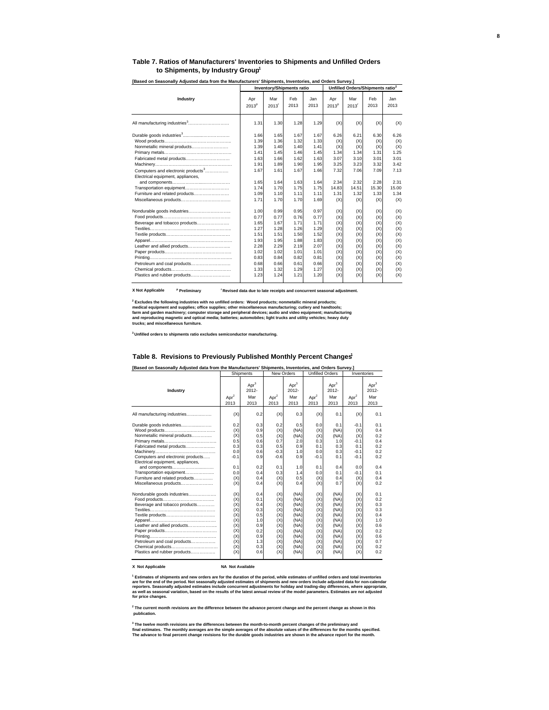#### **Table 7. Ratios of Manufacturers' Inventories to Shipments and Unfilled Orders to Shipments, by Industry Group1**

| [Based on Seasonally Adjusted data from the Manufacturers' Shipments, Inventories, and Orders Survey.]                                                                                                         |                                                                                                      |                                                                                                      |                                                                                                      |                                                                                                      |                                                                                         |                                                                                         |                                                                                         |                                                                                         |  |  |  |
|----------------------------------------------------------------------------------------------------------------------------------------------------------------------------------------------------------------|------------------------------------------------------------------------------------------------------|------------------------------------------------------------------------------------------------------|------------------------------------------------------------------------------------------------------|------------------------------------------------------------------------------------------------------|-----------------------------------------------------------------------------------------|-----------------------------------------------------------------------------------------|-----------------------------------------------------------------------------------------|-----------------------------------------------------------------------------------------|--|--|--|
|                                                                                                                                                                                                                |                                                                                                      | <b>Inventory/Shipments ratio</b>                                                                     |                                                                                                      |                                                                                                      |                                                                                         | Unfilled Orders/Shipments ratio <sup>2</sup>                                            |                                                                                         |                                                                                         |  |  |  |
| Industry                                                                                                                                                                                                       | Apr<br>2013 <sup>p</sup>                                                                             | Mar<br>2013'                                                                                         | Feb<br>2013                                                                                          | Jan.<br>2013                                                                                         | Apr<br>2013 <sup>p</sup>                                                                | Mar<br>2013'                                                                            | Feb<br>2013                                                                             | Jan.<br>2013                                                                            |  |  |  |
| All manufacturing industries <sup>3</sup>                                                                                                                                                                      | 1.31                                                                                                 | 1.30                                                                                                 | 1.28                                                                                                 | 1.29                                                                                                 | (X)                                                                                     | (X)                                                                                     | (X)                                                                                     | (X)                                                                                     |  |  |  |
| Nonmetallic mineral products<br>Fabricated metal products<br>Computers and electronic products <sup>3</sup><br>Electrical equipment, appliances,<br>Transportation equipment<br>Furniture and related products | 1.66<br>1.39<br>1.39<br>1.41<br>1.63<br>1.91<br>1.67<br>1.65<br>1.74<br>1.09                         | 1.65<br>1.36<br>1.40<br>1.45<br>1.66<br>1.89<br>1.61<br>1.64<br>1.70<br>1.10                         | 1.67<br>1.32<br>1.40<br>1.46<br>1.62<br>1.90<br>1.67<br>1.63<br>1.75<br>1.11                         | 1.67<br>1.33<br>1.41<br>1.45<br>1.63<br>1.95<br>1.66<br>1.64<br>1.75<br>1.11                         | 6.26<br>(X)<br>(X)<br>1.34<br>3.07<br>3.25<br>7.32<br>2.34<br>14.83<br>1.31             | 6.21<br>(X)<br>(X)<br>1.34<br>3.10<br>3.23<br>7.06<br>2.32<br>14.51<br>1.32             | 6.30<br>(X)<br>(X)<br>1.31<br>3.01<br>3.32<br>7.09<br>2.28<br>15.30<br>1.33             | 6.26<br>(X)<br>(X)<br>1.25<br>3.01<br>3.42<br>7.13<br>2.31<br>15.00<br>1.34             |  |  |  |
| Miscellaneous products<br>Beverage and tobacco products<br>Leather and allied products<br>Petroleum and coal products<br>Plastics and rubber products                                                          | 1.71<br>1.00<br>0.77<br>1.65<br>1.27<br>1.51<br>1.93<br>2.28<br>1.02<br>0.83<br>0.68<br>1.33<br>1.23 | 1.70<br>0.99<br>0.77<br>1.67<br>1.28<br>1.51<br>1.95<br>2.29<br>1.02<br>0.84<br>0.66<br>1.32<br>1.24 | 1.70<br>0.95<br>0.76<br>1.71<br>1.26<br>1.50<br>1.88<br>2.19<br>1.01<br>0.82<br>0.61<br>1.29<br>1.21 | 1.69<br>0.97<br>0.77<br>1.71<br>1.29<br>1.52<br>1.83<br>2.07<br>1.01<br>0.81<br>0.66<br>1.27<br>1.20 | (X)<br>(X)<br>(X)<br>(X)<br>(X)<br>(X)<br>(X)<br>(X)<br>(X)<br>(X)<br>(X)<br>(X)<br>(X) | (X)<br>(X)<br>(X)<br>(X)<br>(X)<br>(X)<br>(X)<br>(X)<br>(X)<br>(X)<br>(X)<br>(X)<br>(X) | (X)<br>(X)<br>(X)<br>(X)<br>(X)<br>(X)<br>(X)<br>(X)<br>(X)<br>(X)<br>(X)<br>(X)<br>(X) | (X)<br>(X)<br>(X)<br>(X)<br>(X)<br>(X)<br>(X)<br>(X)<br>(X)<br>(X)<br>(X)<br>(X)<br>(X) |  |  |  |

**X Not Applicable <sup>p</sup>**  $^{\mathsf{r}}$  Revised data due to late receipts and concurrent seasonal adjustment.

<sup>2</sup> Excludes the following industries with no unfilled orders: Wood products; nonmetallic mineral products;<br>medical equipment and supplies; office supplies; other miscellaneous manufacturing; cutlery and handtools;<br>farm an

**3 Unfilled orders to shipments ratio excludes semiconductor manufacturing.**

#### **Table 8. Revisions to Previously Published Monthly Percent Changes1**

**[Based on Seasonally Adjusted data from the Manufacturers' Shipments, Inventories, and Orders Survey.]** 

|                                                                                                                                                                                                                                                                           |                                                                                  | Shipments                                                                        | New Orders                                                                       |                                                                                              | <b>Unfilled Orders</b>                                                           |                                                                                              | Inventories                                                                              |                                                                                  |  |
|---------------------------------------------------------------------------------------------------------------------------------------------------------------------------------------------------------------------------------------------------------------------------|----------------------------------------------------------------------------------|----------------------------------------------------------------------------------|----------------------------------------------------------------------------------|----------------------------------------------------------------------------------------------|----------------------------------------------------------------------------------|----------------------------------------------------------------------------------------------|------------------------------------------------------------------------------------------|----------------------------------------------------------------------------------|--|
| Industry                                                                                                                                                                                                                                                                  | Apr <sup>2</sup><br>2013                                                         | Apr <sup>3</sup><br>$2012 -$<br>Mar<br>2013                                      | Apr <sup>2</sup><br>2013                                                         | Apr <sup>3</sup><br>$2012 -$<br>Mar<br>2013                                                  | Apr <sup>2</sup><br>2013                                                         | Apr <sup>3</sup><br>$2012 -$<br>Mar<br>2013                                                  | Apr <sup>2</sup><br>2013                                                                 | Apr <sup>3</sup><br>$2012 -$<br>Mar<br>2013                                      |  |
| All manufacturing industries                                                                                                                                                                                                                                              | (X)                                                                              | 0.2                                                                              | (X)                                                                              | 0.3                                                                                          | (X)                                                                              | 0.1                                                                                          | (X)                                                                                      | 0.1                                                                              |  |
| Durable goods industries<br>Nonmetallic mineral products<br>Fabricated metal products<br>Computers and electronic products<br>Electrical equipment, appliances,<br>and components<br>Transportation equipment<br>Furniture and related products<br>Miscellaneous products | 0.2<br>(X)<br>(X)<br>0.5<br>0.3<br>0.0<br>$-0.1$<br>0.1<br>0.0<br>(X)<br>(X)     | 0.3<br>0.9<br>0.5<br>0.6<br>0.3<br>0.6<br>0.9<br>0.2<br>0.4<br>0.4<br>0.4        | 0.2<br>(X)<br>(X)<br>0.7<br>0.5<br>$-0.3$<br>$-0.6$<br>0.1<br>0.3<br>(X)<br>(X)  | 0.5<br>(NA)<br>(NA)<br>2.0<br>0.9<br>1.0<br>0.9<br>1.0<br>1.4<br>0.5<br>0.4                  | 0.0<br>(X)<br>(X)<br>0.3<br>0.1<br>0.0<br>$-0.1$<br>0.1<br>0.0<br>(X)<br>(X)     | 0.1<br>(NA)<br>(NA)<br>1.0<br>0.3<br>0.3<br>0.1<br>0.4<br>0.1<br>0.4<br>0.7                  | $-0.1$<br>(X)<br>(X)<br>$-0.1$<br>0.1<br>$-0.1$<br>$-0.1$<br>0.0<br>$-0.1$<br>(X)<br>(X) | 0.1<br>0.4<br>0.2<br>0.4<br>0.2<br>0.2<br>0.2<br>0.4<br>0.1<br>0.4<br>0.2        |  |
| Nondurable goods industries<br>Beverage and tobacco products<br>Leather and allied products<br>Petroleum and coal products<br>Chemical products<br>Plastics and rubber products                                                                                           | (X)<br>(X)<br>(X)<br>(X)<br>(X)<br>(X)<br>(X)<br>(X)<br>(X)<br>(X)<br>(X)<br>(X) | 0.4<br>0.1<br>0.4<br>0.3<br>0.5<br>1.0<br>0.9<br>0.2<br>0.9<br>1.3<br>0.3<br>0.6 | (X)<br>(X)<br>(X)<br>(X)<br>(X)<br>(X)<br>(X)<br>(X)<br>(X)<br>(X)<br>(X)<br>(X) | (NA)<br>(NA)<br>(NA)<br>(NA)<br>(NA)<br>(NA)<br>(NA)<br>(NA)<br>(NA)<br>(NA)<br>(NA)<br>(NA) | (X)<br>(X)<br>(X)<br>(X)<br>(X)<br>(X)<br>(X)<br>(X)<br>(X)<br>(X)<br>(X)<br>(X) | (NA)<br>(NA)<br>(NA)<br>(NA)<br>(NA)<br>(NA)<br>(NA)<br>(NA)<br>(NA)<br>(NA)<br>(NA)<br>(NA) | (X)<br>(X)<br>(X)<br>(X)<br>(X)<br>(X)<br>(X)<br>(X)<br>(X)<br>(X)<br>(X)<br>(X)         | 0.1<br>0.2<br>0.3<br>0.3<br>0.4<br>1.0<br>0.6<br>0.2<br>0.6<br>0.7<br>0.2<br>0.2 |  |

#### **X Not Applicable NA Not Available**

<sup>1</sup> Estimates of shipments and new orders are for the duration of the period, while estimates of unfilled orders and total inventories<br>are for the end of the period. Not seasonally adjusted estimates of shipments and new o

**2 The current month revisions are the difference between the advance percent change and the percent change as shown in this publication.**

<sup>3</sup> The twelve month revisions are the differences between the month-to-month percent changes of the preliminary and<br>final estimates. The monthly averages are the simple averages of the absolute values of the differences f